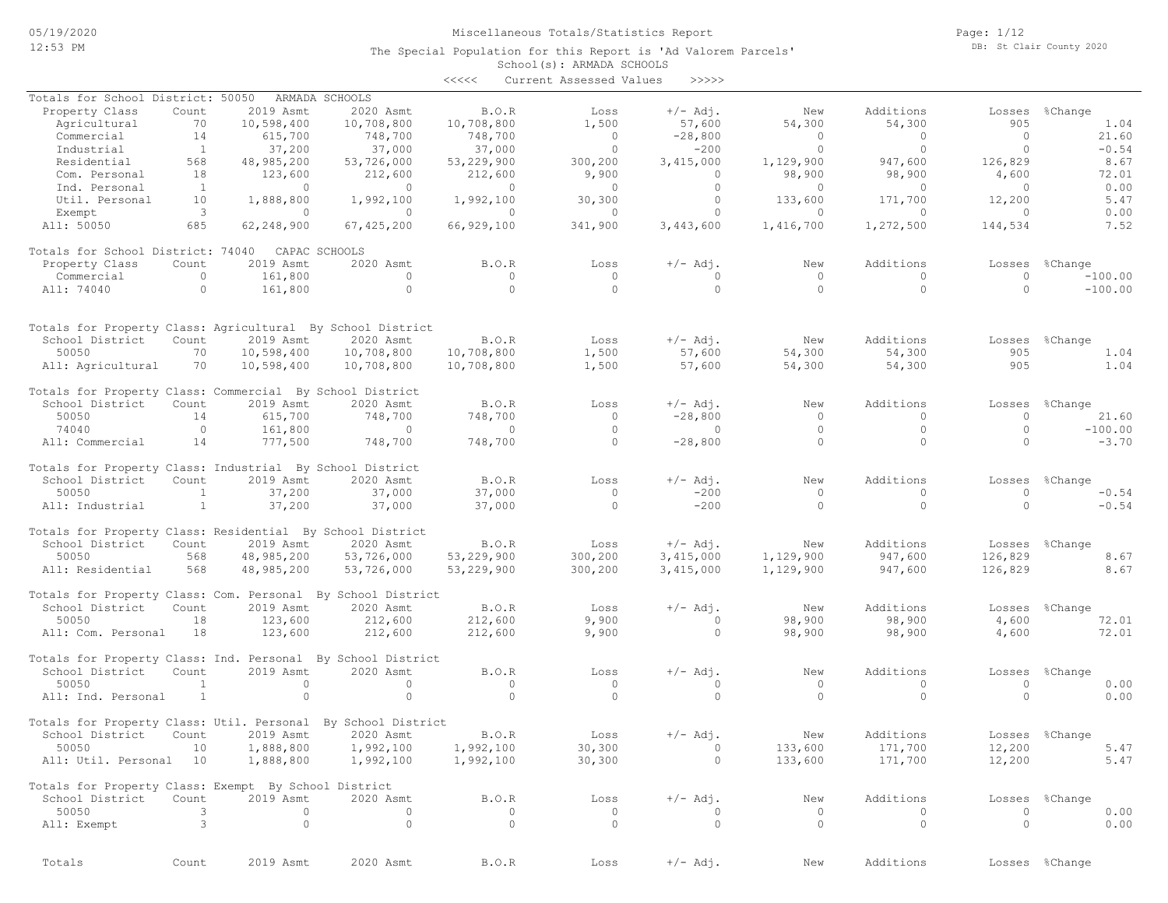### Miscellaneous Totals/Statistics Report

The Special Population for this Report is 'Ad Valorem Parcels'

Page: 1/12 DB: St Clair County 2020

|                                             |       |            |                |            | School(s): ARMADA SCHOOLS |            |        |           |        |                           |
|---------------------------------------------|-------|------------|----------------|------------|---------------------------|------------|--------|-----------|--------|---------------------------|
|                                             |       |            |                | <<<<       | Current Assessed Values   | >>>>>      |        |           |        |                           |
| Totals for School District: 50050           |       |            | ARMADA SCHOOLS |            |                           |            |        |           |        |                           |
| Property Class                              | Count | 2019 Asmt  | 2020 Asmt      | B.0.R      | Loss                      | $+/-$ Adi. | New    | Additions | Losses | %Change                   |
| Agricultural                                | 70    | 10,598,400 | 10,708,800     | 10,708,800 | 1,500                     | 57,600     | 54,300 | 54,300    | 905    | 1.04                      |
| Commercial                                  |       | 615,700    | 748,700        | 748,700    |                           | $-28,800$  |        |           |        | 21.60                     |
| $T = \lambda + \lambda + \lambda + \lambda$ |       | 27.200     | 27 000         | 27 000     |                           | 2000       |        |           |        | $\cap$ $\subset$ $\wedge$ |

| ngriculturut                                                 | . <i>.</i> .   | 101301300  | 10,100,000   | 10,100,000     | $+$ , $-$      | --------       | <u>JIIJUV</u>  | <u>JIIJUV</u> | - - - -        | <b>L.VI</b>    |
|--------------------------------------------------------------|----------------|------------|--------------|----------------|----------------|----------------|----------------|---------------|----------------|----------------|
| Commercial                                                   | 14             | 615,700    | 748,700      | 748,700        | $\circ$        | $-28,800$      | $\circ$        | $\circ$       | $\circ$        | 21.60          |
| Industrial                                                   | <sup>1</sup>   | 37,200     | 37,000       | 37,000         | $\Omega$       | $-200$         | $\Omega$       | $\Omega$      | $\Omega$       | $-0.54$        |
| Residential                                                  | 568            | 48,985,200 | 53,726,000   | 53,229,900     | 300,200        | 3,415,000      | 1,129,900      | 947,600       | 126,829        | 8.67           |
| Com. Personal                                                | 18             | 123,600    | 212,600      | 212,600        | 9,900          | $\Omega$       | 98,900         | 98,900        | 4,600          | 72.01          |
|                                                              | $\overline{1}$ | $\bigcirc$ | $\Omega$     | $\bigcirc$     | $\overline{0}$ | $\Omega$       | $\overline{0}$ | $\Omega$      |                |                |
| Ind. Personal                                                |                |            |              |                |                |                |                |               | $\overline{0}$ | 0.00           |
| Util. Personal                                               | 10             | 1,888,800  | 1,992,100    | 1,992,100      | 30,300         | $\circ$        | 133,600        | 171,700       | 12,200         | 5.47           |
| Exempt                                                       | $\overline{3}$ | $\Omega$   | $\Omega$     | $\Omega$       | $\Omega$       | $\Omega$       | $\Omega$       | $\Omega$      | $\Omega$       | 0.00           |
| All: 50050                                                   | 685            | 62,248,900 | 67, 425, 200 | 66,929,100     | 341,900        | 3,443,600      | 1,416,700      | 1,272,500     | 144,534        | 7.52           |
| Totals for School District: 74040 CAPAC SCHOOLS              |                |            |              |                |                |                |                |               |                |                |
| Property Class                                               | Count          | 2019 Asmt  | 2020 Asmt    | B.O.R          | Loss           | $+/-$ Adj.     | New            | Additions     |                | Losses %Change |
| Commercial                                                   | $\circ$        | 161,800    | $\circ$      | $\circ$        | $\circ$        | $\mathbf{0}$   | $\overline{0}$ | $\circ$       | $\circ$        | $-100.00$      |
| All: 74040                                                   | $\Omega$       | 161,800    | $\Omega$     | $\Omega$       | $\Omega$       | $\Omega$       | $\Omega$       | $\Omega$      | $\Omega$       | $-100.00$      |
| Totals for Property Class: Agricultural By School District   |                |            |              |                |                |                |                |               |                |                |
|                                                              |                |            |              |                |                |                |                |               |                |                |
| School District                                              | Count          | 2019 Asmt  | 2020 Asmt    | B.O.R          | Loss           | $+/-$ Adj.     | New            | Additions     | Losses         | %Change        |
| 50050                                                        | 70             | 10,598,400 | 10,708,800   | 10,708,800     | 1,500          | 57,600         | 54,300         | 54,300        | 905            | 1.04           |
| All: Agricultural                                            | 70             | 10,598,400 | 10,708,800   | 10,708,800     | 1,500          | 57,600         | 54,300         | 54,300        | 905            | 1.04           |
| Totals for Property Class: Commercial By School District     |                |            |              |                |                |                |                |               |                |                |
| School District                                              | Count          | 2019 Asmt  | 2020 Asmt    | B.O.R          | Loss           | $+/-$ Adj.     | New            | Additions     | Losses         | %Change        |
| 50050                                                        | 14             | 615,700    | 748,700      | 748,700        | $\overline{0}$ | $-28,800$      | $\circ$        | $\Omega$      | $\circ$        | 21.60          |
| 74040                                                        | $\circ$        | 161,800    | $\sim$ 0     | $\overline{0}$ | $\circ$        | $\circ$        | $\circ$        | $\circ$       | $\circ$        | $-100.00$      |
| All: Commercial                                              | 14             | 777,500    | 748,700      | 748,700        | $\Omega$       | $-28,800$      | $\Omega$       | $\Omega$      | $\Omega$       | $-3.70$        |
| Totals for Property Class: Industrial By School District     |                |            |              |                |                |                |                |               |                |                |
| School District                                              | Count          | 2019 Asmt  | 2020 Asmt    | <b>B.O.R</b>   | Loss           | $+/-$ Adj.     | New            | Additions     |                | Losses %Change |
| 50050                                                        | <sup>1</sup>   | 37,200     | 37,000       | 37,000         | $\overline{0}$ | $-200$         | $\circ$        | $\Omega$      | $\circ$        | $-0.54$        |
| All: Industrial                                              | $\mathbf{1}$   | 37,200     | 37,000       | 37,000         | $\Omega$       | $-200$         | $\circ$        | $\Omega$      | $\Omega$       | $-0.54$        |
| Totals for Property Class: Residential By School District    |                |            |              |                |                |                |                |               |                |                |
|                                                              |                |            |              |                |                |                |                |               |                |                |
| School District                                              | Count          | 2019 Asmt  | 2020 Asmt    | B.O.R          | Loss           | $+/-$ Adj.     | New            | Additions     |                | Losses %Change |
| 50050                                                        | 568            | 48,985,200 | 53,726,000   | 53,229,900     | 300,200        | 3,415,000      | 1,129,900      | 947,600       | 126,829        | 8.67           |
| All: Residential                                             | 568            | 48,985,200 | 53,726,000   | 53,229,900     | 300,200        | 3,415,000      | 1,129,900      | 947,600       | 126,829        | 8.67           |
| Totals for Property Class: Com. Personal By School District  |                |            |              |                |                |                |                |               |                |                |
| School District                                              | Count          | 2019 Asmt  | 2020 Asmt    | B.O.R          | Loss           | $+/-$ Adj.     | New            | Additions     | Losses         | %Change        |
| 50050                                                        | 18             | 123,600    | 212,600      | 212,600        | 9,900          | $\overline{0}$ | 98,900         | 98,900        | 4,600          | 72.01          |
| All: Com. Personal                                           | 18             | 123,600    | 212,600      | 212,600        | 9,900          | $\circ$        | 98,900         | 98,900        | 4,600          | 72.01          |
| Totals for Property Class: Ind. Personal By School District  |                |            |              |                |                |                |                |               |                |                |
| School District                                              | Count          | 2019 Asmt  | 2020 Asmt    | <b>B.O.R</b>   | Loss           | $+/-$ Adj.     | New            | Additions     |                | Losses %Change |
| 50050                                                        | $\mathbf{1}$   | $\circ$    | $\circ$      | $\Omega$       | $\circ$        | $\Omega$       | $\circ$        | $\Omega$      | $\circ$        | 0.00           |
|                                                              | <sup>1</sup>   | $\Omega$   | $\Omega$     | $\Omega$       | $\Omega$       | $\Omega$       | $\Omega$       | $\Omega$      | $\Omega$       | 0.00           |
| All: Ind. Personal                                           |                |            |              |                |                |                |                |               |                |                |
| Totals for Property Class: Util. Personal By School District |                |            |              |                |                |                |                |               |                |                |
| School District                                              | Count          | 2019 Asmt  | 2020 Asmt    | B.O.R          | Loss           | $+/-$ Adj.     | New            | Additions     | Losses         | %Change        |
| 50050                                                        | 10             | 1,888,800  | 1,992,100    | 1,992,100      | 30,300         | $\circ$        | 133,600        | 171,700       | 12,200         | 5.47           |
| All: Util. Personal 10                                       |                | 1,888,800  | 1,992,100    | 1,992,100      | 30,300         | $\circ$        | 133,600        | 171,700       | 12,200         | 5.47           |
| Totals for Property Class: Exempt By School District         |                |            |              |                |                |                |                |               |                |                |
| School District                                              | Count          | 2019 Asmt  | 2020 Asmt    | B.O.R          | Loss           | $+/-$ Adj.     | New            | Additions     | Losses         | %Change        |
| 50050                                                        | 3              | $\Omega$   | $\Omega$     | $\Omega$       | $\circ$        | $\Omega$       | $\circ$        | $\Omega$      | $\circ$        | 0.00           |
| All: Exempt                                                  | 3              | $\circ$    | $\Omega$     | $\circ$        | $\circ$        | $\circ$        | $\circ$        | $\circ$       | $\circ$        | 0.00           |
|                                                              |                |            |              |                |                |                |                |               |                |                |
|                                                              |                |            |              |                |                |                |                |               |                |                |

Totals Count 2019 Asmt 2020 Asmt B.O.R Loss +/- Adj. New Additions Losses %Change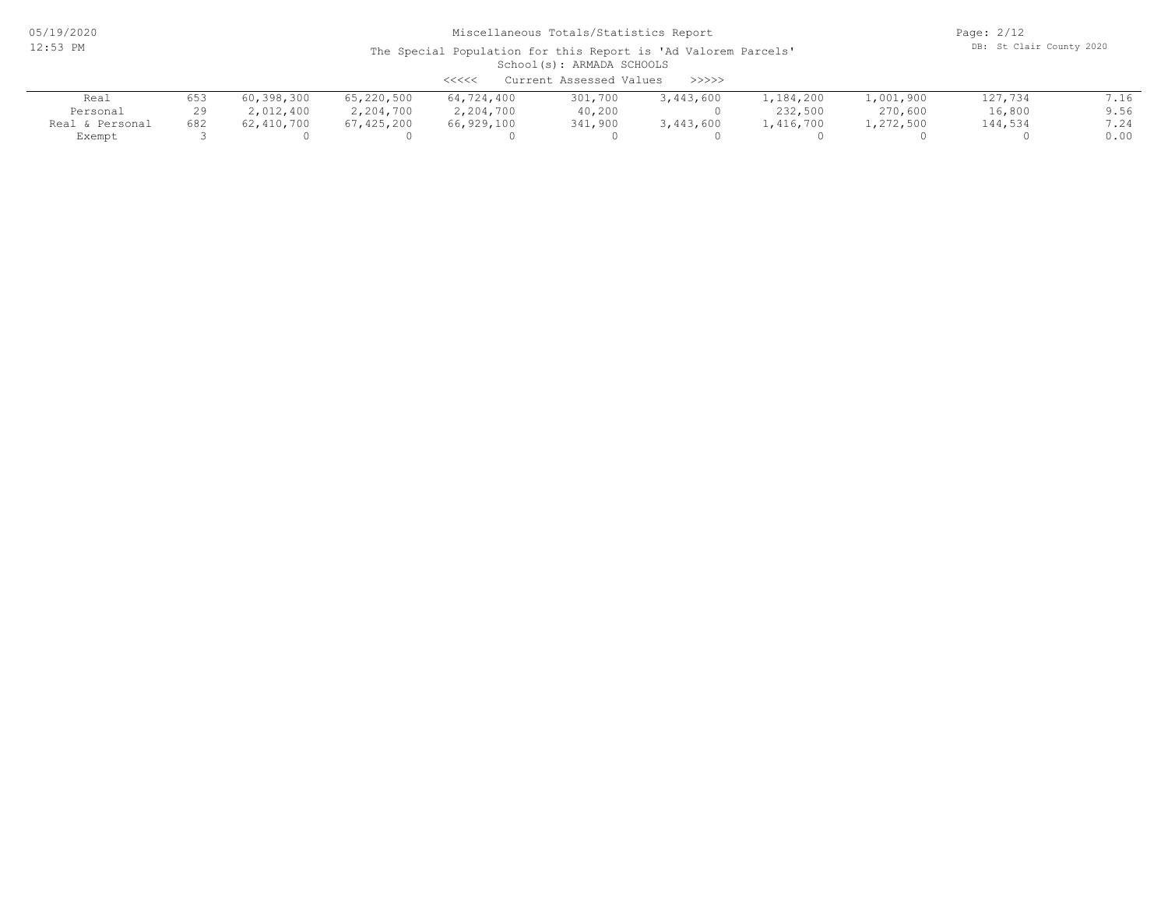05/19/2020 12:53 PM

# Miscellaneous Totals/Statistics Report

Page: 2/12 DB: St Clair County 2020

#### School(s): ARMADA SCHOOLS The Special Population for this Report is 'Ad Valorem Parcels' <<<<< Current Assessed Values >>>>>

| ノンシンノ<br>CULLENC ASSESSEU VALUES<br>///// |     |            |            |            |         |           |             |           |         |      |  |
|-------------------------------------------|-----|------------|------------|------------|---------|-----------|-------------|-----------|---------|------|--|
| Real                                      | 653 | 60,398,300 | 65,220,500 | 64,724,400 | 301,700 | 3,443,600 | l, 184, 200 | 1,001,900 | 127,734 | 7.16 |  |
| Personal                                  | 29  | 2,012,400  | 2,204,700  | 2,204,700  | 40,200  |           | 232,500     | 270,600   | 16,800  | 9.56 |  |
| Real & Personal                           | 682 | 62,410,700 | 67,425,200 | 66,929,100 | 341,900 | 3,443,600 | .,416,700   | 1,272,500 | 144,534 | 7.24 |  |
| Exempt                                    |     |            |            |            |         |           |             |           |         | 0.00 |  |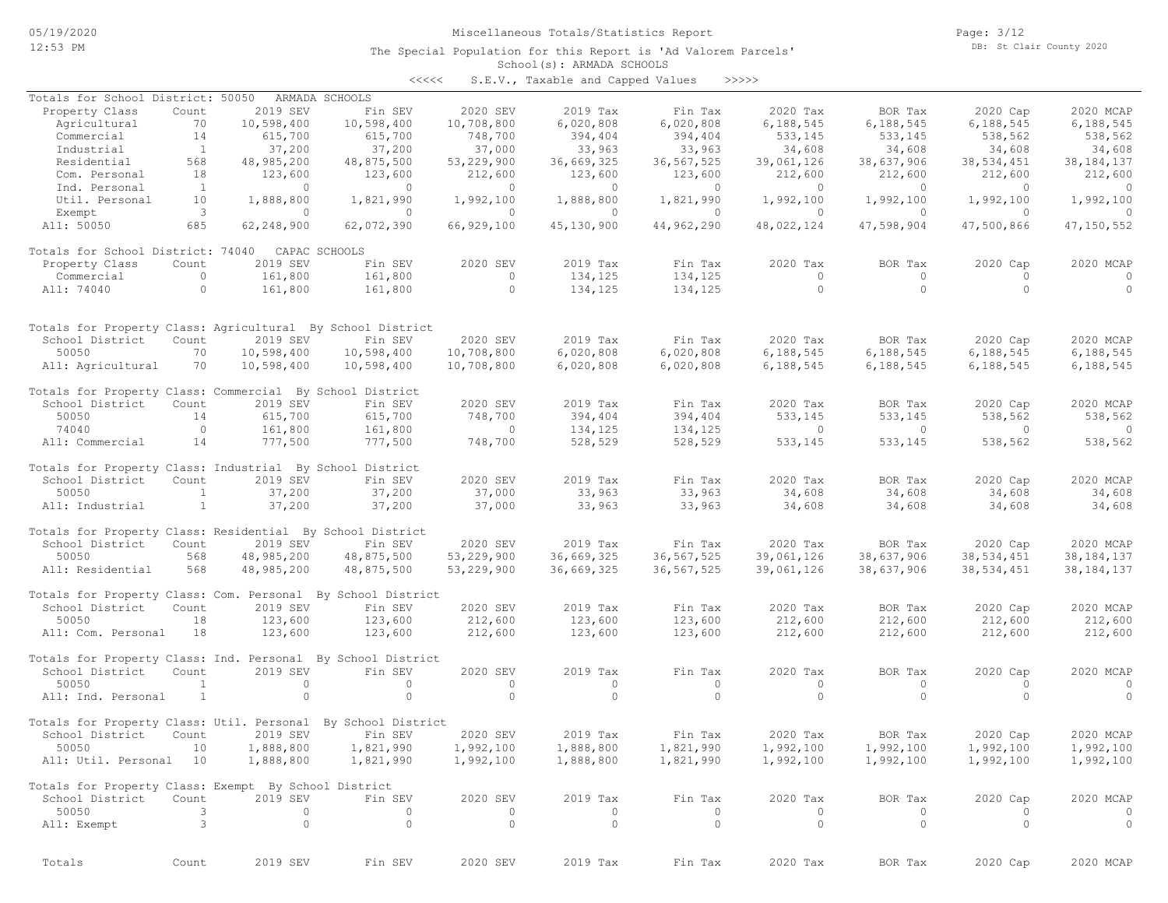The Special Population for this Report is 'Ad Valorem Parcels'

Page: 3/12 DB: St Clair County 2020

## School(s): ARMADA SCHOOLS

| S.E.V., Taxable and Capped Values<br>くくくくく | >>>>> |  |
|--------------------------------------------|-------|--|
|--------------------------------------------|-------|--|

| Totals for School District: 50050                                             |                          |                    | ARMADA SCHOOLS     |                    |                    |                    |                    |                    |                           |                    |
|-------------------------------------------------------------------------------|--------------------------|--------------------|--------------------|--------------------|--------------------|--------------------|--------------------|--------------------|---------------------------|--------------------|
| Property Class                                                                | Count                    | 2019 SEV           | Fin SEV            | 2020 SEV           | 2019 Tax           | Fin Tax            | 2020 Tax           | BOR Tax            | 2020 Cap                  | 2020 MCAP          |
| Agricultural                                                                  | 70                       | 10,598,400         | 10,598,400         | 10,708,800         | 6,020,808          | 6,020,808          | 6,188,545          | 6,188,545          | 6,188,545                 | 6,188,545          |
| Commercial                                                                    | 14                       | 615,700            | 615,700            | 748,700            | 394,404            | 394,404            | 533,145            | 533,145            | 538,562                   | 538,562            |
| Industrial                                                                    | $\overline{1}$           | 37,200             | 37,200             | 37,000             | 33,963             | 33,963             | 34,608             | 34,608             | 34,608                    | 34,608             |
| Residential                                                                   | 568                      | 48,985,200         | 48,875,500         | 53,229,900         | 36,669,325         | 36,567,525         | 39,061,126         | 38,637,906         | 38,534,451                | 38, 184, 137       |
| Com. Personal                                                                 | 18<br>$\mathbf{1}$       | 123,600<br>$\circ$ | 123,600<br>$\circ$ | 212,600<br>$\circ$ | 123,600<br>$\circ$ | 123,600<br>$\circ$ | 212,600<br>$\circ$ | 212,600<br>$\circ$ | 212,600<br>$\overline{0}$ | 212,600<br>$\circ$ |
| Ind. Personal<br>Util. Personal                                               | 10                       | 1,888,800          | 1,821,990          | 1,992,100          | 1,888,800          | 1,821,990          | 1,992,100          | 1,992,100          | 1,992,100                 | 1,992,100          |
| Exempt                                                                        | $\overline{\mathbf{3}}$  | $\Omega$           | $\Omega$           | $\Omega$           | $\Omega$           | $\circ$            | $\overline{0}$     | $\Omega$           | $\bigcirc$                | $\Omega$           |
| All: 50050                                                                    | 685                      | 62,248,900         | 62,072,390         | 66,929,100         | 45,130,900         | 44,962,290         | 48,022,124         | 47,598,904         | 47,500,866                | 47, 150, 552       |
| Totals for School District: 74040                                             |                          |                    | CAPAC SCHOOLS      |                    |                    |                    |                    |                    |                           |                    |
| Property Class                                                                | Count                    | 2019 SEV           | Fin SEV            | 2020 SEV           | 2019 Tax           | Fin Tax            | 2020 Tax           | BOR Tax            | 2020 Cap                  | 2020 MCAP          |
| Commercial                                                                    | $\circ$                  | 161,800            | 161,800            | $\circ$            | 134,125            | 134,125            | $\circ$            | $\circ$            | $\Omega$                  | $\circ$            |
| All: 74040                                                                    | $\circ$                  | 161,800            | 161,800            | $\circ$            | 134,125            | 134,125            | $\circ$            | $\circ$            | $\circ$                   | $\circ$            |
|                                                                               |                          |                    |                    |                    |                    |                    |                    |                    |                           |                    |
| Totals for Property Class: Agricultural By School District<br>School District | Count                    | 2019 SEV           | Fin SEV            | 2020 SEV           | 2019 Tax           | Fin Tax            | 2020 Tax           | BOR Tax            | 2020 Cap                  | 2020 MCAP          |
| 50050                                                                         | 70                       | 10,598,400         | 10,598,400         | 10,708,800         | 6,020,808          | 6,020,808          | 6,188,545          | 6,188,545          | 6,188,545                 | 6,188,545          |
| All: Agricultural                                                             | 70                       | 10,598,400         | 10,598,400         | 10,708,800         | 6,020,808          | 6,020,808          | 6,188,545          | 6,188,545          | 6,188,545                 | 6,188,545          |
|                                                                               |                          |                    |                    |                    |                    |                    |                    |                    |                           |                    |
| Totals for Property Class: Commercial By School District                      |                          |                    |                    |                    |                    |                    |                    |                    |                           |                    |
| School District                                                               | Count                    | 2019 SEV           | Fin SEV            | 2020 SEV           | 2019 Tax           | Fin Tax            | 2020 Tax           | BOR Tax            | 2020 Cap                  | 2020 MCAP          |
| 50050                                                                         | 14                       | 615,700            | 615,700            | 748,700            | 394,404            | 394,404            | 533,145            | 533,145            | 538,562                   | 538,562            |
| 74040                                                                         | $\overline{0}$           | 161,800            | 161,800            | $\circ$            | 134,125            | 134,125            | $\circ$            | $\circ$            | $\circ$                   | $\circ$            |
| All: Commercial                                                               | 14                       | 777,500            | 777,500            | 748,700            | 528,529            | 528,529            | 533,145            | 533,145            | 538,562                   | 538,562            |
| Totals for Property Class: Industrial By School District                      |                          |                    |                    |                    |                    |                    |                    |                    |                           |                    |
| School District                                                               | Count                    | 2019 SEV           | Fin SEV            | 2020 SEV           | 2019 Tax           | Fin Tax            | 2020 Tax           | BOR Tax            | 2020 Cap                  | 2020 MCAP          |
| 50050                                                                         | $\mathbf{1}$             | 37,200             | 37,200             | 37,000             | 33,963             | 33,963             | 34,608             | 34,608             | 34,608                    | 34,608             |
| All: Industrial                                                               | $\mathbf{1}$             | 37,200             | 37,200             | 37,000             | 33,963             | 33,963             | 34,608             | 34,608             | 34,608                    | 34,608             |
| Totals for Property Class: Residential By School District                     |                          |                    |                    |                    |                    |                    |                    |                    |                           |                    |
| School District                                                               | Count                    | 2019 SEV           | Fin SEV            | 2020 SEV           | 2019 Tax           | Fin Tax            | 2020 Tax           | BOR Tax            | 2020 Cap                  | 2020 MCAP          |
| 50050                                                                         | 568                      | 48,985,200         | 48,875,500         | 53,229,900         | 36,669,325         | 36, 567, 525       | 39,061,126         | 38,637,906         | 38,534,451                | 38, 184, 137       |
| All: Residential                                                              | 568                      | 48,985,200         | 48,875,500         | 53,229,900         | 36,669,325         | 36, 567, 525       | 39,061,126         | 38,637,906         | 38,534,451                | 38, 184, 137       |
| Totals for Property Class: Com. Personal By School District                   |                          |                    |                    |                    |                    |                    |                    |                    |                           |                    |
| School District                                                               | Count                    | 2019 SEV           | Fin SEV            | 2020 SEV           | 2019 Tax           | Fin Tax            | 2020 Tax           | BOR Tax            | 2020 Cap                  | 2020 MCAP          |
| 50050                                                                         | 18                       | 123,600            | 123,600            | 212,600            | 123,600            | 123,600            | 212,600            | 212,600            | 212,600                   | 212,600            |
| All: Com. Personal                                                            | 18                       | 123,600            | 123,600            | 212,600            | 123,600            | 123,600            | 212,600            | 212,600            | 212,600                   | 212,600            |
| Totals for Property Class: Ind. Personal By School District                   |                          |                    |                    |                    |                    |                    |                    |                    |                           |                    |
| School District                                                               | Count                    | 2019 SEV           | Fin SEV            | 2020 SEV           | 2019 Tax           | Fin Tax            | 2020 Tax           | BOR Tax            | 2020 Cap                  | 2020 MCAP          |
| 50050                                                                         | $\mathbf{1}$             | $\circ$            | $\circ$            | $\circ$            | $\circ$            | $\circ$            | $\circ$            | $\circ$            | $\circ$                   | $\circ$            |
| All: Ind. Personal                                                            | $\mathbf{1}$             | $\circ$            | $\circ$            | $\Omega$           | $\Omega$           | $\circ$            | $\circ$            | $\circ$            | $\Omega$                  | $\circ$            |
| Totals for Property Class: Util. Personal By School District                  |                          |                    |                    |                    |                    |                    |                    |                    |                           |                    |
| School District                                                               | Count                    | 2019 SEV           | Fin SEV            | 2020 SEV           | 2019 Tax           | Fin Tax            | 2020 Tax           | BOR Tax            | 2020 Cap                  | 2020 MCAP          |
| 50050 10 1,888,800                                                            |                          |                    | 1,821,990          | 1,992,100          | 1,888,800          | 1,821,990          | 1,992,100          | 1,992,100          | 1,992,100                 | 1,992,100          |
| All: Util. Personal 10                                                        |                          | 1,888,800          | 1,821,990          | 1,992,100          | 1,888,800          | 1,821,990          | 1,992,100          | 1,992,100          | 1,992,100                 | 1,992,100          |
| Totals for Property Class: Exempt By School District                          |                          |                    |                    |                    |                    |                    |                    |                    |                           |                    |
| School District                                                               | Count                    | 2019 SEV           | Fin SEV            | 2020 SEV           | 2019 Tax           | Fin Tax            | 2020 Tax           | BOR Tax            | 2020 Cap                  | 2020 MCAP          |
| 50050                                                                         | 3                        | $\circ$            | $\circ$            | $\circ$            | $\circ$            | $\circ$            | $\circ$            | $\circ$            | $\circ$                   | $\circ$            |
| All: Exempt                                                                   | $\overline{\phantom{a}}$ | $\circ$            | $\circ$            | $\circ$            | $\circ$            | $\circ$            | $\circ$            | $\circ$            | $\overline{0}$            | $\overline{0}$     |
|                                                                               |                          |                    |                    |                    |                    |                    |                    |                    |                           |                    |
| Totals                                                                        | Count                    | 2019 SEV           | Fin SEV            | 2020 SEV           | 2019 Tax           | Fin Tax            | 2020 Tax           | BOR Tax            | 2020 Cap                  | 2020 MCAP          |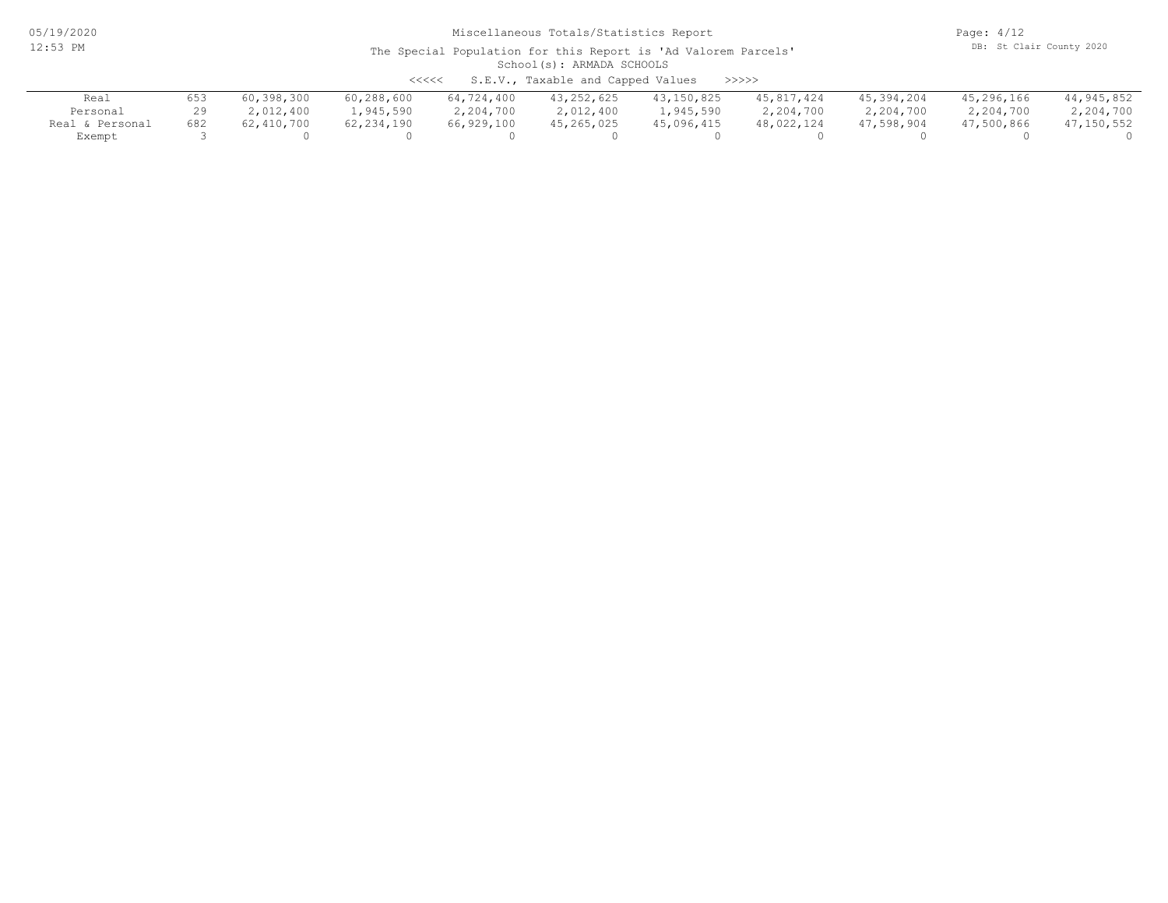Page: 4/12 DB: St Clair County 2020

| S.E.V., Taxable and Capped Values<br>>>>>><br>$\begin{array}{c} \begin{array}{c} < \  \  < \  \  < \end{array} \end{array}$ |     |            |              |            |              |            |            |            |            |            |  |
|-----------------------------------------------------------------------------------------------------------------------------|-----|------------|--------------|------------|--------------|------------|------------|------------|------------|------------|--|
| Real                                                                                                                        | 653 | 60,398,300 | 60,288,600   | 64,724,400 | 43, 252, 625 | 43,150,825 | 45,817,424 | 45,394,204 | 45,296,166 | 44,945,852 |  |
| Personal                                                                                                                    |     | 2,012,400  | 1,945,590    | 2,204,700  | 2,012,400    | 1,945,590  | 2,204,700  | 2,204,700  | 2,204,700  | 2,204,700  |  |
| Real & Personal                                                                                                             | 682 | 62,410,700 | 62, 234, 190 | 66,929,100 | 45,265,025   | 45,096,415 | 48,022,124 | 47,598,904 | 47,500,866 | 47,150,552 |  |
| Exempt                                                                                                                      |     |            |              |            |              |            |            |            |            |            |  |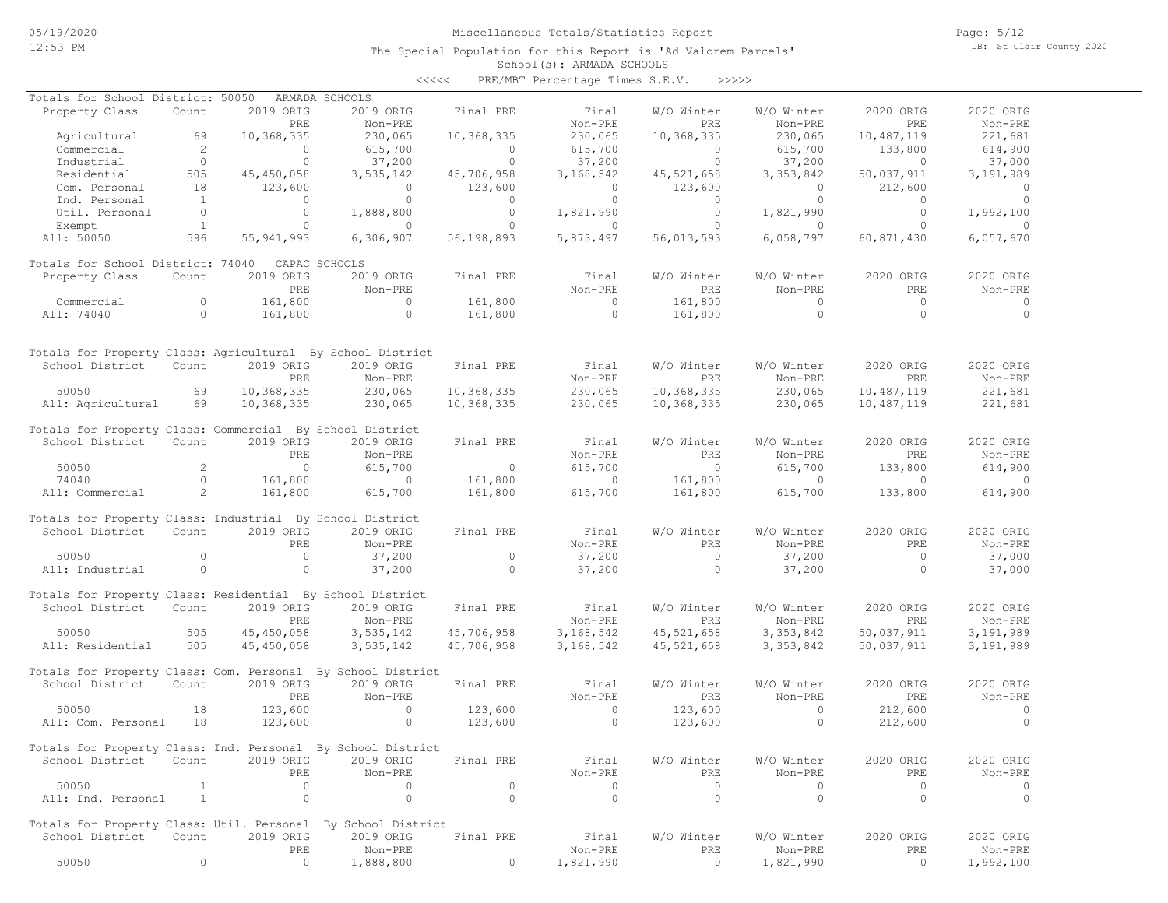Page: 5/12 DB: St Clair County 2020

| くくくくく | PRE/MBT Percentage Times S.E.V. |  |  | >>>>> |
|-------|---------------------------------|--|--|-------|
|-------|---------------------------------|--|--|-------|

| Totals for School District: 50050 ARMADA SCHOOLS                                                           |                |                                                     |                                         |                                                                                    |                                 |                                                                                                                 |                          |                                                                                                                                                 |                                      |
|------------------------------------------------------------------------------------------------------------|----------------|-----------------------------------------------------|-----------------------------------------|------------------------------------------------------------------------------------|---------------------------------|-----------------------------------------------------------------------------------------------------------------|--------------------------|-------------------------------------------------------------------------------------------------------------------------------------------------|--------------------------------------|
| Property Class                                                                                             | Count          | 2019 ORIG                                           | 2019 ORIG                               | Final PRE                                                                          | Final                           | W/O Winter                                                                                                      | W/O Winter               | 2020 ORIG                                                                                                                                       | 2020 ORIG                            |
|                                                                                                            |                | PRE                                                 | Non-PRE                                 |                                                                                    | Non-PRE                         | PRE                                                                                                             | Non-PRE                  | PRE                                                                                                                                             | Non-PRE                              |
| Agricultural 69                                                                                            |                | 10,368,335                                          | 230,065                                 | 10,368,335                                                                         | 230,065                         | 10,368,335                                                                                                      | 230,065                  | 10,487,119                                                                                                                                      | 221,681                              |
| Commercial                                                                                                 | $\overline{2}$ |                                                     | 615,700                                 | $\sim$ 0                                                                           | 615,700                         | $\sim$ 0                                                                                                        | 615,700                  | $\begin{array}{ccccc} & & & & & & & 614,900 \\ & & & & & & & 37,000 \\ 50,037,911 & & & 3,191 & \text{cm}^2 \\ & & & & & 212,600 & \end{array}$ |                                      |
|                                                                                                            |                | $\begin{array}{c} 0 \\ 0 \end{array}$               | 37,200                                  | $\overline{a}$                                                                     |                                 |                                                                                                                 |                          |                                                                                                                                                 |                                      |
| Industrial 0<br>Residential 505                                                                            |                | 505                                                 | $45, 450, 058$ 3, 535, 142              | $0$ 37, 200<br>45, 706, 958 3, 168, 542                                            |                                 |                                                                                                                 |                          |                                                                                                                                                 |                                      |
| Com. Personal 18 123,600<br>Ind. Personal 18 123,600<br>Util. Personal 1 0<br>Exempt 1 1 0<br>Exempt 1 1 0 |                |                                                     |                                         |                                                                                    |                                 | $\begin{array}{ccc} & & & & 0 & & 123,600 \\ & & & & 0 & & 0 \\ & & & & & 0 \\ 1,821,990 & & & & 0 \end{array}$ |                          |                                                                                                                                                 |                                      |
|                                                                                                            |                |                                                     |                                         | $0$ 123,600<br>0 0                                                                 |                                 |                                                                                                                 |                          | $0$ 212,600<br>0 0                                                                                                                              | $\begin{matrix} 0 \\ 0 \end{matrix}$ |
|                                                                                                            |                |                                                     | $\overline{0}$                          |                                                                                    | $1,888,800$ 0 $0$ $1,821,990$ 0 |                                                                                                                 | 1,821,990                | $\overline{0}$                                                                                                                                  | 1,992,100                            |
|                                                                                                            |                |                                                     | $\overline{0}$ 0                        |                                                                                    |                                 |                                                                                                                 | $0$ 1,821,990<br>0 0     | $\overline{a}$                                                                                                                                  | $\sim$ 0                             |
| All: 50050 596 55,941,993                                                                                  |                |                                                     |                                         | $6,306,907$ $56,198,893$ $5,873,497$                                               |                                 | 56,013,593                                                                                                      |                          | 6,058,797 60,871,430                                                                                                                            | 6,057,670                            |
|                                                                                                            |                |                                                     |                                         |                                                                                    |                                 |                                                                                                                 |                          |                                                                                                                                                 |                                      |
| Totals for School District: 74040 CAPAC SCHOOLS                                                            |                |                                                     |                                         |                                                                                    |                                 |                                                                                                                 |                          |                                                                                                                                                 |                                      |
| Property Class                                                                                             | Count          | 2019 ORIG                                           | 2019 ORIG                               | Final PRE                                                                          | Final                           | W/O Winter                                                                                                      | W/O Winter               | 2020 ORIG                                                                                                                                       | 2020 ORIG                            |
|                                                                                                            |                | PRE                                                 | Non-PRE                                 |                                                                                    | Non-PRE                         | PRE                                                                                                             | Non-PRE                  | PRE                                                                                                                                             | Non-PRE                              |
|                                                                                                            |                |                                                     |                                         |                                                                                    |                                 |                                                                                                                 |                          | $\overline{0}$                                                                                                                                  | $\sim$ 0                             |
| Commercial 0 161,800<br>All: 74040 0 161,800                                                               |                |                                                     |                                         |                                                                                    |                                 |                                                                                                                 |                          | $\overline{0}$                                                                                                                                  | $\overline{0}$                       |
|                                                                                                            |                |                                                     |                                         |                                                                                    |                                 |                                                                                                                 |                          |                                                                                                                                                 |                                      |
|                                                                                                            |                |                                                     |                                         |                                                                                    |                                 |                                                                                                                 |                          |                                                                                                                                                 |                                      |
| Totals for Property Class: Agricultural By School District                                                 |                |                                                     |                                         |                                                                                    |                                 |                                                                                                                 |                          |                                                                                                                                                 |                                      |
| School District Count 2019 ORIG                                                                            |                |                                                     | 2019 ORIG                               | Final PRE                                                                          | Final                           | W/O Winter                                                                                                      | W/O Winter               | 2020 ORIG                                                                                                                                       | 2020 ORIG                            |
|                                                                                                            |                | PRE                                                 | Non-PRE                                 |                                                                                    | Non-PRE                         | <b>EXECUTE:</b>                                                                                                 | Non-PRE                  | PRE                                                                                                                                             | Non-PRE                              |
|                                                                                                            |                |                                                     |                                         |                                                                                    |                                 |                                                                                                                 |                          |                                                                                                                                                 |                                      |
| 50050 69 10,368,335 230,065<br>All: Agricultural 69 10,368,335 230,065                                     |                |                                                     |                                         | 10,368,335<br>10,368,335                                                           | 230,065                         |                                                                                                                 |                          | $10,368,335$ $230,065$ $10,487,119$ $221,681$                                                                                                   |                                      |
|                                                                                                            |                |                                                     |                                         |                                                                                    | 230,065                         | 10,368,335                                                                                                      | 230,065                  | 10,487,119                                                                                                                                      | 221,681                              |
|                                                                                                            |                |                                                     |                                         |                                                                                    |                                 |                                                                                                                 |                          |                                                                                                                                                 |                                      |
| Totals for Property Class: Commercial By School District                                                   |                |                                                     |                                         |                                                                                    |                                 |                                                                                                                 |                          |                                                                                                                                                 |                                      |
| School District                                                                                            | Count          | 2019 ORIG                                           | 2019 ORIG                               | Final PRE                                                                          | Final                           | W/O Winter                                                                                                      | W/O Winter               | 2020 ORIG                                                                                                                                       | 2020 ORIG                            |
|                                                                                                            |                |                                                     |                                         |                                                                                    | Non-PRE                         |                                                                                                                 |                          |                                                                                                                                                 | Non-PRE                              |
|                                                                                                            |                |                                                     |                                         |                                                                                    |                                 |                                                                                                                 |                          |                                                                                                                                                 | 614,900                              |
| 9 PRE Non-PRE<br>50050 2 0 615,700<br>74040 0 161,800 0<br>All: Commercial 2 161,800 615,700               |                |                                                     |                                         | $\begin{array}{ccc} & 0 & 615,700 \\ 161,800 & 0 \\ 161,800 & 615,700 \end{array}$ |                                 |                                                                                                                 |                          | PRE Non-PRE PRE<br>0 615,700 133,800<br>161,800 0 0<br>161,800 615,700 133,800                                                                  | $\overline{0}$                       |
|                                                                                                            |                |                                                     |                                         |                                                                                    |                                 |                                                                                                                 |                          |                                                                                                                                                 | 614,900                              |
|                                                                                                            |                |                                                     |                                         |                                                                                    |                                 |                                                                                                                 |                          |                                                                                                                                                 |                                      |
| Totals for Property Class: Industrial By School District                                                   |                |                                                     |                                         |                                                                                    |                                 |                                                                                                                 |                          |                                                                                                                                                 |                                      |
| School District Count                                                                                      |                | 2019 ORIG                                           | 2019 ORIG                               | Final PRE                                                                          | Final                           | W/O Winter                                                                                                      | W/O Winter               | 2020 ORIG                                                                                                                                       | 2020 ORIG                            |
|                                                                                                            |                | PRE                                                 | Non-PRE                                 |                                                                                    |                                 | Non-PRE PRE                                                                                                     | Non-PRE                  | <b>PRE</b>                                                                                                                                      | Non-PRE                              |
| $\sim$ 0<br>50050                                                                                          |                | $\overline{0}$                                      | 37,200                                  | $\sim$ 0                                                                           | 37,200                          | $\overline{0}$                                                                                                  | 37,200                   | $\overline{0}$                                                                                                                                  | 37,000                               |
| All: Industrial 0                                                                                          |                | $\sim$ 0                                            | 37,200                                  | $\overline{a}$                                                                     | 37,200                          | $\overline{a}$                                                                                                  | 37,200                   | $\overline{a}$                                                                                                                                  | 37,000                               |
|                                                                                                            |                |                                                     |                                         |                                                                                    |                                 |                                                                                                                 |                          |                                                                                                                                                 |                                      |
| Totals for Property Class: Residential By School District                                                  |                |                                                     |                                         |                                                                                    |                                 |                                                                                                                 |                          |                                                                                                                                                 |                                      |
| School District Count 2019 ORIG                                                                            |                |                                                     |                                         |                                                                                    | 2019 ORIG Final PRE Final       | W/O Winter                                                                                                      | W/O Winter               | 2020 ORIG                                                                                                                                       | 2020 ORIG                            |
|                                                                                                            |                | PRE                                                 | Non-PRE                                 |                                                                                    | Non-PRE                         |                                                                                                                 | PRE Non-PRE              | PRE                                                                                                                                             | Non-PRE                              |
| 505<br>50050                                                                                               |                | 45,450,058                                          | 3, 535, 142                             |                                                                                    | 45,706,958 3,168,542            |                                                                                                                 | 45, 521, 658 3, 353, 842 | 50,037,911                                                                                                                                      | 3,191,989                            |
| All: Residential 505                                                                                       |                | 45,450,058                                          | 3,535,142                               | 45,706,958 3,168,542                                                               |                                 |                                                                                                                 | 45,521,658 3,353,842     | 50,037,911                                                                                                                                      | 3,191,989                            |
|                                                                                                            |                |                                                     |                                         |                                                                                    |                                 |                                                                                                                 |                          |                                                                                                                                                 |                                      |
| Totals for Property Class: Com. Personal By School District                                                |                |                                                     |                                         |                                                                                    |                                 |                                                                                                                 |                          |                                                                                                                                                 |                                      |
| School District Count                                                                                      |                | 2019 ORIG                                           | 2019 ORIG                               | Final PRE                                                                          | Final                           | W/O Winter                                                                                                      | W/O Winter               | 2020 ORIG                                                                                                                                       | 2020 ORIG                            |
|                                                                                                            |                | PRE                                                 | Non-PRE                                 |                                                                                    | Non-PRE                         | PRE                                                                                                             | Non-PRE                  | PRE                                                                                                                                             | Non-PRE                              |
|                                                                                                            |                |                                                     |                                         |                                                                                    |                                 | $123,600$<br>$123,600$                                                                                          |                          | $0 \t 212,600$                                                                                                                                  | $\overline{0}$                       |
| 50050 18 123,600<br>All: Com. Personal 18 123,600                                                          |                |                                                     | $123,600$<br>0 $123,600$<br>0 $123,600$ |                                                                                    |                                 | 123,600                                                                                                         | $\sim$ 0                 | 212,600                                                                                                                                         | $\overline{0}$                       |
|                                                                                                            |                |                                                     |                                         |                                                                                    |                                 |                                                                                                                 |                          |                                                                                                                                                 |                                      |
| Totals for Property Class: Ind. Personal By School District                                                |                |                                                     |                                         |                                                                                    |                                 |                                                                                                                 |                          |                                                                                                                                                 |                                      |
| School District Count 2019 ORIG 2019 ORIG Final PRE                                                        |                |                                                     |                                         |                                                                                    | Final                           | W/O Winter                                                                                                      | W/O Winter               | 2020 ORIG                                                                                                                                       | 2020 ORIG                            |
|                                                                                                            |                |                                                     | Non-PRE                                 |                                                                                    | Non-PRE                         | PRE                                                                                                             | Non-PRE                  | PRE                                                                                                                                             | Non-PRE                              |
| 50050                                                                                                      |                | $\begin{array}{c}\n \text{PRE} \\  0\n \end{array}$ | $\overline{0}$                          | $\overline{0}$                                                                     | $\sim$ 0                        | $\overline{0}$                                                                                                  | $\overline{0}$           | $\bigcirc$                                                                                                                                      | $\sim$ 0                             |
| All: Ind. Personal 1                                                                                       |                | $\sim$ 0                                            | $\circ$                                 | $\overline{0}$                                                                     | $\overline{0}$                  | $\overline{0}$                                                                                                  | $\circ$                  | $\overline{0}$                                                                                                                                  | $\sim$ 0                             |
|                                                                                                            |                |                                                     |                                         |                                                                                    |                                 |                                                                                                                 |                          |                                                                                                                                                 |                                      |
| Totals for Property Class: Util. Personal By School District                                               |                |                                                     |                                         |                                                                                    |                                 |                                                                                                                 |                          |                                                                                                                                                 |                                      |
| School District Count                                                                                      |                | 2019 ORIG                                           | 2019 ORIG                               | Final PRE                                                                          | Final                           | W/O Winter                                                                                                      | W/O Winter               | 2020 ORIG                                                                                                                                       | 2020 ORIG                            |
|                                                                                                            |                | PRE                                                 | Non-PRE                                 |                                                                                    | Non-PRE                         | PRE                                                                                                             | Non-PRE                  | PRE                                                                                                                                             | Non-PRE                              |
| 50050                                                                                                      | $\circ$        | $\overline{0}$                                      | 1,888,800                               | $\overline{0}$                                                                     | 1,821,990                       | $\overline{0}$                                                                                                  | 1,821,990                | $\overline{0}$                                                                                                                                  | 1,992,100                            |
|                                                                                                            |                |                                                     |                                         |                                                                                    |                                 |                                                                                                                 |                          |                                                                                                                                                 |                                      |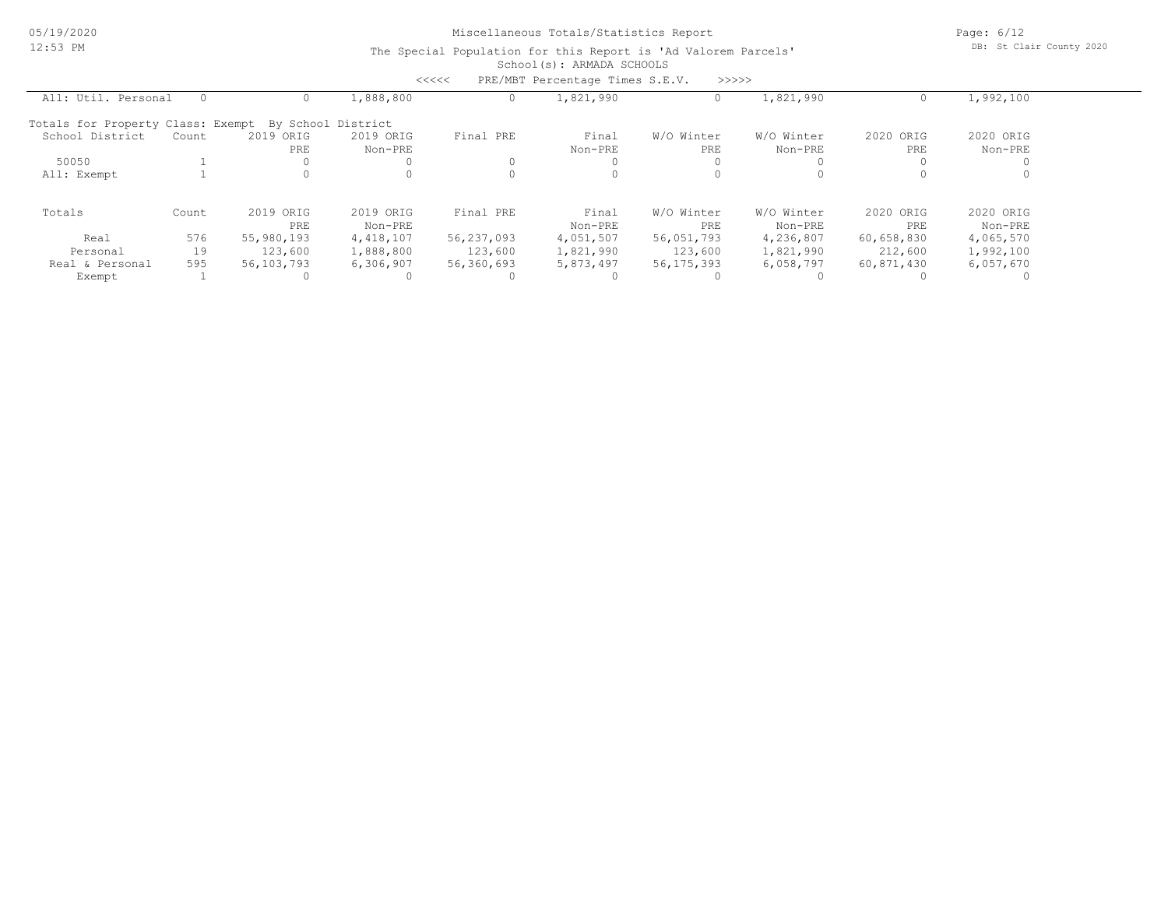Page: 6/12 DB: St Clair County 2020

|                                                      |       |            |           | <<<<       | PRE/MBT Percentage Times S.E.V. | >>>>>        |            |            |           |  |
|------------------------------------------------------|-------|------------|-----------|------------|---------------------------------|--------------|------------|------------|-----------|--|
| All: Util. Personal                                  |       |            | 1,888,800 |            | 1,821,990                       |              | 1,821,990  |            | 1,992,100 |  |
| Totals for Property Class: Exempt By School District |       |            |           |            |                                 |              |            |            |           |  |
| School District                                      | Count | 2019 ORIG  | 2019 ORIG | Final PRE  | Final                           | W/O Winter   | W/O Winter | 2020 ORIG  | 2020 ORIG |  |
|                                                      |       | PRE        | Non-PRE   |            | Non-PRE                         | PRE          | Non-PRE    | PRE        | Non-PRE   |  |
| 50050                                                |       |            |           |            |                                 |              |            |            |           |  |
| All: Exempt                                          |       |            | 0         |            | 0                               |              |            |            |           |  |
| Totals                                               | Count | 2019 ORIG  | 2019 ORIG | Final PRE  | Final                           | W/O Winter   | W/O Winter | 2020 ORIG  | 2020 ORIG |  |
|                                                      |       | PRE        | Non-PRE   |            | Non-PRE                         | PRE          | Non-PRE    | PRE        | Non-PRE   |  |
| Real                                                 | 576   | 55,980,193 | 4,418,107 | 56,237,093 | 4,051,507                       | 56,051,793   | 4,236,807  | 60,658,830 | 4,065,570 |  |
| Personal                                             | 19    | 123,600    | 1,888,800 | 123,600    | 1,821,990                       | 123,600      | 1,821,990  | 212,600    | 1,992,100 |  |
| Real & Personal                                      | 595   | 56,103,793 | 6,306,907 | 56,360,693 | 5,873,497                       | 56, 175, 393 | 6,058,797  | 60,871,430 | 6,057,670 |  |
| Exempt                                               |       |            |           |            |                                 |              |            |            |           |  |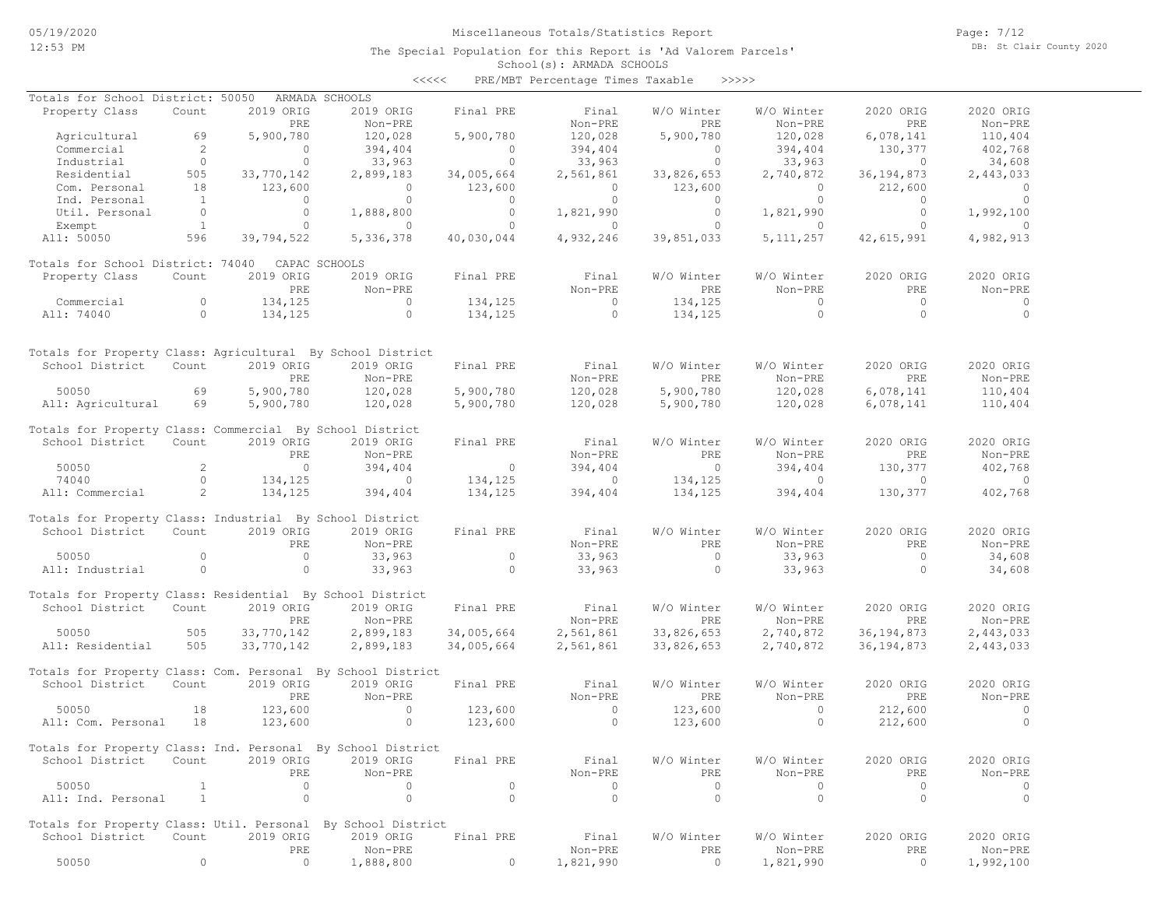Page: 7/12 DB: St Clair County 2020

| <<<< | PRE/MBT Percentage Times Taxable |  |  | >>>>> |
|------|----------------------------------|--|--|-------|
|------|----------------------------------|--|--|-------|

| Totals for School District: 50050                            |                |                | ARMADA SCHOOLS                                                |                |                |                |                |                |                |
|--------------------------------------------------------------|----------------|----------------|---------------------------------------------------------------|----------------|----------------|----------------|----------------|----------------|----------------|
| Property Class                                               | Count          | 2019 ORIG      | 2019 ORIG                                                     | Final PRE      | Final          | W/O Winter     | W/O Winter     | 2020 ORIG      | 2020 ORIG      |
|                                                              |                | PRE            | Non-PRE                                                       |                | Non-PRE        | PRE            | Non-PRE        | PRE            | Non-PRE        |
| Agricultural                                                 | 69             | 5,900,780      | 120,028                                                       | 5,900,780      | 120,028        | 5,900,780      | 120,028        | 6,078,141      | 110,404        |
| Commercial                                                   | 2              | $\circ$        | 394,404                                                       | $\Omega$       | 394,404        | $\circ$        | 394,404        | 130,377        | 402,768        |
| Industrial                                                   | $\overline{0}$ | $\overline{0}$ | 33,963                                                        | $\circ$        | 33,963         | $\circ$        | 33,963         | $\overline{0}$ | 34,608         |
| Residential                                                  | 505            | 33,770,142     | 2,899,183                                                     | 34,005,664     | 2,561,861      | 33,826,653     | 2,740,872      | 36, 194, 873   | 2,443,033      |
| Com. Personal                                                | 18             | 123,600        | $\overline{0}$                                                | 123,600        | $\overline{0}$ | 123,600        | $\overline{0}$ | 212,600        | $\overline{0}$ |
| Ind. Personal                                                | $\sim$ 1       | $\circ$        | $\circ$                                                       | $\circ$        | $\overline{0}$ | $\circ$        | $\bigcirc$     | $\bigcirc$     | $\bigcirc$     |
| Util. Personal                                               | $\overline{0}$ | $\circ$        | 1,888,800                                                     | $\circ$        | 1,821,990      | $\circ$        | 1,821,990      | $\circ$        | 1,992,100      |
| Exempt                                                       | $\sim$ 1       | $\circ$        | $\bigcirc$                                                    | $\circ$        | $\sim$ 0       | $\circ$        | $\overline{0}$ | $\Omega$       | $\sim$ 0       |
| All: 50050                                                   | 596            | 39,794,522     | 5,336,378                                                     | 40,030,044     | 4,932,246      | 39,851,033     | 5, 111, 257    | 42,615,991     | 4,982,913      |
|                                                              |                |                |                                                               |                |                |                |                |                |                |
| Totals for School District: 74040 CAPAC SCHOOLS              |                |                |                                                               |                |                |                |                |                |                |
| Property Class                                               | Count          | 2019 ORIG      | 2019 ORIG                                                     | Final PRE      | Final          | W/O Winter     | W/O Winter     | 2020 ORIG      | 2020 ORIG      |
|                                                              |                | PRE            | Non-PRE                                                       |                | Non-PRE        | PRE            | Non-PRE        | PRE            | Non-PRE        |
| Commercial                                                   | $\circ$        | 134,125        | $\overline{0}$                                                | 134,125        | $\overline{a}$ |                | $\overline{0}$ | $\overline{0}$ | $\overline{0}$ |
|                                                              | $\overline{0}$ |                | $\circ$                                                       |                | $\overline{0}$ | 134,125        | $\circ$        | $\Omega$       | $\overline{0}$ |
| All: 74040                                                   |                | 134,125        |                                                               | 134,125        |                | 134,125        |                |                |                |
|                                                              |                |                |                                                               |                |                |                |                |                |                |
| Totals for Property Class: Agricultural By School District   |                |                |                                                               |                |                |                |                |                |                |
| School District                                              | Count          | 2019 ORIG      | 2019 ORIG                                                     | Final PRE      | Final          | W/O Winter     | W/O Winter     | 2020 ORIG      | 2020 ORIG      |
|                                                              |                | PRE            | Non-PRE                                                       |                | Non-PRE        | PRE            | Non-PRE        | PRE            | Non-PRE        |
| 50050                                                        | 69             | 5,900,780      | 120,028                                                       | 5,900,780      | 120,028        | 5,900,780      |                | 6,078,141      | 110,404        |
|                                                              |                |                |                                                               |                |                |                | 120,028        |                |                |
| All: Agricultural 69                                         |                | 5,900,780      | 120,028                                                       | 5,900,780      | 120,028        | 5,900,780      | 120,028        | 6,078,141      | 110,404        |
| Totals for Property Class: Commercial By School District     |                |                |                                                               |                |                |                |                |                |                |
|                                                              |                |                |                                                               |                |                |                |                |                |                |
| School District                                              | Count          | 2019 ORIG      | 2019 ORIG                                                     | Final PRE      | Final          | W/O Winter     | W/O Winter     | 2020 ORIG      | 2020 ORIG      |
|                                                              |                | PRE            | Non-PRE                                                       |                | Non-PRE        | PRE            | Non-PRE        | PRE            | Non-PRE        |
| 50050                                                        | $\overline{2}$ | $\overline{0}$ | 394,404                                                       | $\sim$ 0       | 394,404        | $\overline{0}$ | 394,404        | 130,377        | 402,768        |
| 74040                                                        | $\circ$        | 134,125        | $\sim$ 000 $\sim$ 000 $\sim$ 000 $\sim$ 000 $\sim$ 000 $\sim$ | 134,125        | $\sim$ 0       | 134,125        | $\sim$ 0       | $\overline{0}$ | $\sim$ 0       |
| All: Commercial                                              | $\sim$ 2       | 134,125        | 394,404                                                       | 134,125        | 394,404        | 134,125        | 394,404        | 130,377        | 402,768        |
|                                                              |                |                |                                                               |                |                |                |                |                |                |
| Totals for Property Class: Industrial By School District     |                |                |                                                               |                |                |                |                |                |                |
| School District                                              | Count          | 2019 ORIG      | 2019 ORIG                                                     | Final PRE      | Final          | W/O Winter     | W/O Winter     | 2020 ORIG      | 2020 ORIG      |
|                                                              |                | PRE            | Non-PRE                                                       |                | Non-PRE        | PRE            | Non-PRE        | PRE            | Non-PRE        |
| 50050                                                        | $\circ$        | $\circ$        | 33,963                                                        | $\circ$        | 33,963         | $\circ$        | 33,963         | $\overline{0}$ | 34,608         |
| All: Industrial                                              | $\circ$        | $\circ$        | 33,963                                                        | $\overline{0}$ | 33,963         | $\circ$        | 33,963         | $\Omega$       | 34,608         |
|                                                              |                |                |                                                               |                |                |                |                |                |                |
| Totals for Property Class: Residential By School District    |                |                |                                                               |                |                |                |                |                |                |
| School District                                              | Count          | 2019 ORIG      | 2019 ORIG                                                     | Final PRE      | Final          | W/O Winter     | W/O Winter     | 2020 ORIG      | 2020 ORIG      |
|                                                              |                | PRE            | Non-PRE                                                       |                | Non-PRE        | PRE            | Non-PRE        | PRE            | Non-PRE        |
| 50050                                                        | 505            | 33,770,142     | 2,899,183                                                     | 34,005,664     | 2,561,861      | 33,826,653     | 2,740,872      | 36, 194, 873   | 2,443,033      |
| All: Residential                                             | 505            | 33,770,142     | 2,899,183                                                     | 34,005,664     | 2,561,861      | 33,826,653     | 2,740,872      | 36, 194, 873   | 2,443,033      |
|                                                              |                |                |                                                               |                |                |                |                |                |                |
| Totals for Property Class: Com. Personal By School District  |                |                |                                                               |                |                |                |                |                |                |
| School District                                              | Count          | 2019 ORIG      | 2019 ORIG                                                     | Final PRE      | Final          | W/O Winter     | W/O Winter     | 2020 ORIG      | 2020 ORIG      |
|                                                              |                | PRE            | Non-PRE                                                       |                | Non-PRE        | PRE            | Non-PRE        | PRE            | Non-PRE        |
| 50050                                                        | 18             | 123,600        | $\circ$                                                       | 123,600        | $\sim$ 0       | 123,600        | $\circ$        | 212,600        | $\overline{0}$ |
| All: Com. Personal 18                                        |                | 123,600        | $\overline{0}$                                                | 123,600        | $\circ$        | 123,600        | $\circ$        | 212,600        | $\circ$        |
|                                                              |                |                |                                                               |                |                |                |                |                |                |
| Totals for Property Class: Ind. Personal By School District  |                |                |                                                               |                |                |                |                |                |                |
| School District Count                                        |                | 2019 ORIG      | 2019 ORIG Final PRE                                           |                | Final          | W/O Winter     | W/O Winter     | 2020 ORIG      | 2020 ORIG      |
|                                                              |                | PRE            | Non-PRE                                                       |                | Non-PRE        | PRE            | Non-PRE        | PRE            | Non-PRE        |
| 50050                                                        | $\mathbf{1}$   | $\bigcirc$     | $\Omega$                                                      | $\circ$        | $\overline{0}$ | $\circ$        | $\Omega$       | $\circ$        | $\circ$        |
| All: Ind. Personal                                           | $\sim$ 1       | $\overline{0}$ | $\Omega$                                                      | $\Omega$       | $\Omega$       | $\circ$        | $\circ$        | $\circ$        | $\circ$        |
|                                                              |                |                |                                                               |                |                |                |                |                |                |
| Totals for Property Class: Util. Personal By School District |                |                |                                                               |                |                |                |                |                |                |
| School District Count                                        |                | 2019 ORIG      | 2019 ORIG                                                     | Final PRE      | Final          | W/O Winter     | W/O Winter     | 2020 ORIG      | 2020 ORIG      |
|                                                              |                | PRE            | Non-PRE                                                       |                | Non-PRE        | PRE            | Non-PRE        | PRE            | Non-PRE        |
|                                                              | $\circ$        | $\circ$        |                                                               |                |                |                |                |                |                |
| 50050                                                        |                |                | 1,888,800                                                     | $\circ$        | 1,821,990      | $\circ$        | 1,821,990      | $\circ$        | 1,992,100      |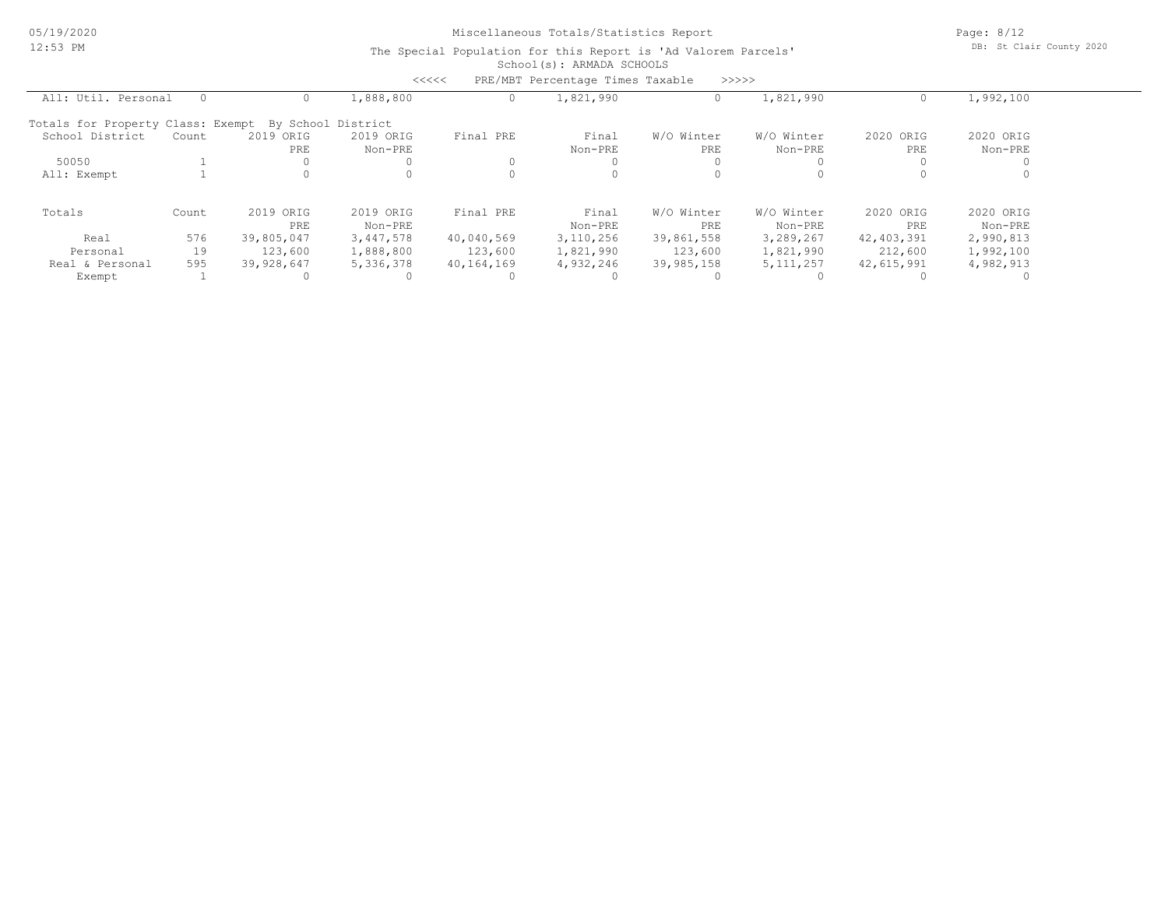Page: 8/12 DB: St Clair County 2020

|                                                      |          |            | <<<<      |            | PRE/MBT Percentage Times Taxable |            | >>>>>       |              |           |  |
|------------------------------------------------------|----------|------------|-----------|------------|----------------------------------|------------|-------------|--------------|-----------|--|
| All: Util. Personal                                  | $\Omega$ |            | 1,888,800 |            | 1,821,990                        |            | 1,821,990   |              | 1,992,100 |  |
| Totals for Property Class: Exempt By School District |          |            |           |            |                                  |            |             |              |           |  |
| School District                                      | Count    | 2019 ORIG  | 2019 ORIG | Final PRE  | Final                            | W/O Winter | W/O Winter  | 2020 ORIG    | 2020 ORIG |  |
|                                                      |          | PRE        | Non-PRE   |            | Non-PRE                          | PRE        | Non-PRE     | PRE          | Non-PRE   |  |
| 50050                                                |          |            |           |            |                                  |            |             |              |           |  |
| All: Exempt                                          |          |            |           |            |                                  |            |             |              |           |  |
| Totals                                               | Count    | 2019 ORIG  | 2019 ORIG | Final PRE  | Final                            | W/O Winter | W/O Winter  | 2020 ORIG    | 2020 ORIG |  |
|                                                      |          | PRE        | Non-PRE   |            | Non-PRE                          | PRE        | Non-PRE     | PRE          | Non-PRE   |  |
| Real                                                 | 576      | 39,805,047 | 3,447,578 | 40,040,569 | 3,110,256                        | 39,861,558 | 3,289,267   | 42, 403, 391 | 2,990,813 |  |
| Personal                                             | 19       | 123,600    | 1,888,800 | 123,600    | 1,821,990                        | 123,600    | 1,821,990   | 212,600      | 1,992,100 |  |
| Real & Personal                                      | 595      | 39,928,647 | 5,336,378 | 40,164,169 | 4,932,246                        | 39,985,158 | 5, 111, 257 | 42,615,991   | 4,982,913 |  |
| Exempt                                               |          |            |           |            |                                  |            |             |              |           |  |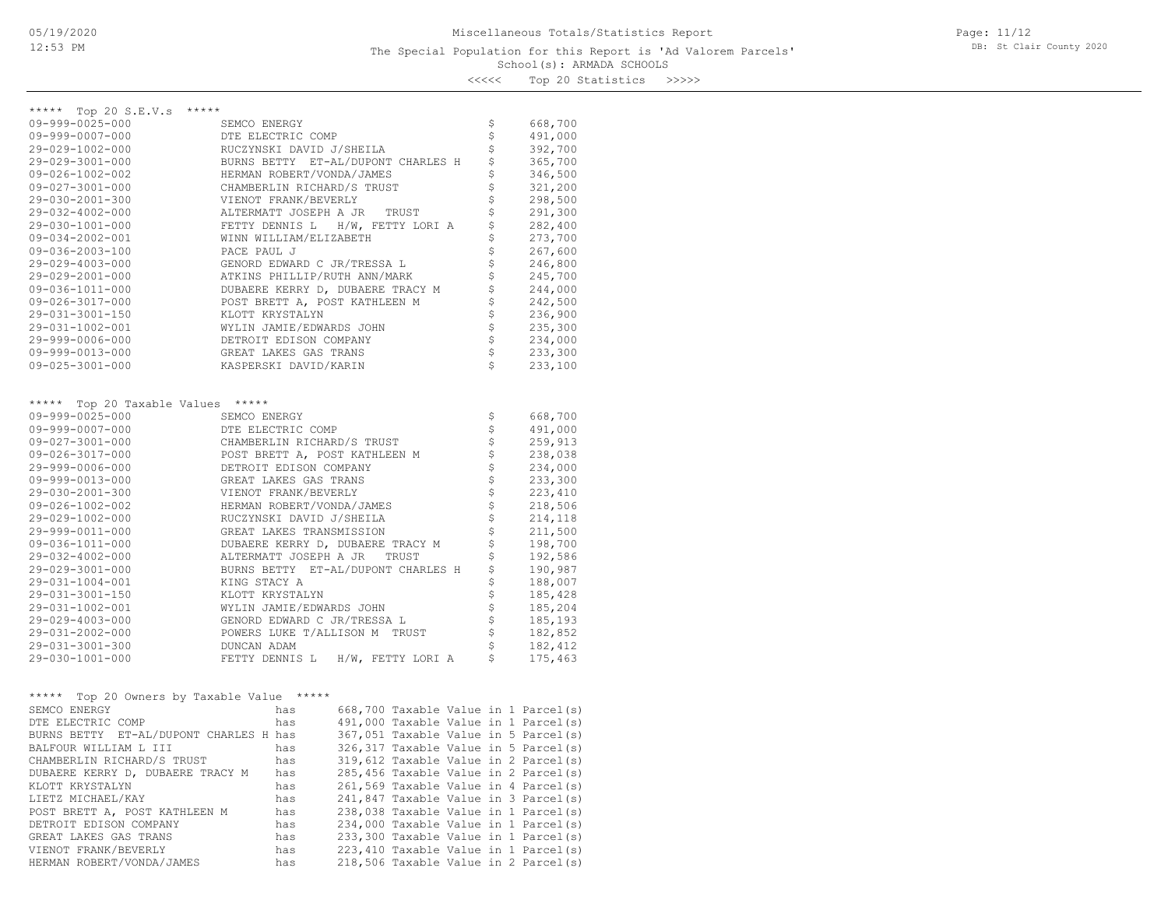## School(s): ARMADA SCHOOLS The Special Population for this Report is 'Ad Valorem Parcels'

Page: 11/12 DB: St Clair County 2020

<<<<< Top 20 Statistics >>>>>

| *****<br>***** Top 20 S.E.V.s<br>\$<br>$09 - 999 - 0025 - 000$<br>668,700<br>SEMCO ENERGY<br>\$<br>$09 - 999 - 0007 - 000$<br>491,000<br>DTE ELECTRIC COMP<br>\$<br>392,700<br>29-029-1002-000<br>RUCZYNSKI DAVID J/SHEILA<br>\$<br>29-029-3001-000<br>BURNS BETTY ET-AL/DUPONT CHARLES H<br>365,700<br>\$<br>HERMAN ROBERT/VONDA/JAMES<br>346,500<br>$09 - 026 - 1002 - 002$<br>$\dot{\tilde{\varsigma}}$<br>$09 - 027 - 3001 - 000$<br>CHAMBERLIN RICHARD/S TRUST<br>321,200<br>\$<br>298,500<br>29-030-2001-300<br>VIENOT FRANK/BEVERLY<br>\$<br>ALTERMATT JOSEPH A JR<br>291,300<br>29-032-4002-000<br>TRUST<br>\$<br>29-030-1001-000<br>FETTY DENNIS L H/W, FETTY LORI A<br>282,400<br>\$<br>WINN WILLIAM/ELIZABETH<br>273,700<br>$09 - 034 - 2002 - 001$<br>\$<br>267,600<br>$09 - 036 - 2003 - 100$<br>PACE PAUL J<br>\$<br>246,800<br>29-029-4003-000<br>GENORD EDWARD C JR/TRESSA L<br>\$<br>245,700<br>29-029-2001-000<br>ATKINS PHILLIP/RUTH ANN/MARK<br>\$<br>09-036-1011-000<br>DUBAERE KERRY D, DUBAERE TRACY M<br>244,000<br>\$<br>09-026-3017-000<br>POST BRETT A, POST KATHLEEN M<br>242,500<br>$\dot{\tilde{\varsigma}}$<br>29-031-3001-150<br>KLOTT KRYSTALYN<br>236,900<br>\$<br>235,300<br>29-031-1002-001<br>WYLIN JAMIE/EDWARDS JOHN<br>\$<br>234,000<br>29-999-0006-000<br>DETROIT EDISON COMPANY<br>\$<br>09-999-0013-000<br>GREAT LAKES GAS TRANS<br>233,300<br>\$<br>$09 - 025 - 3001 - 000$<br>KASPERSKI DAVID/KARIN<br>233,100<br>***** Top 20 Taxable Values *****<br>\$<br>09-999-0025-000<br>SEMCO ENERGY<br>668,700<br>$\boldsymbol{\dot{\varsigma}}$<br>$09 - 999 - 0007 - 000$<br>491,000<br>DTE ELECTRIC COMP<br>\$<br>$09 - 027 - 3001 - 000$<br>CHAMBERLIN RICHARD/S TRUST<br>259,913<br>\$<br>POST BRETT A, POST KATHLEEN M<br>09-026-3017-000<br>238,038<br>\$<br>29-999-0006-000<br>DETROIT EDISON COMPANY<br>234,000<br>\$<br>09-999-0013-000<br>GREAT LAKES GAS TRANS<br>233,300<br>\$<br>29-030-2001-300<br>VIENOT FRANK/BEVERLY<br>223,410<br>$\stackrel{.}{\mathsf{S}}$<br>$09 - 026 - 1002 - 002$<br>HERMAN ROBERT/VONDA/JAMES<br>218,506<br>$\dot{\varsigma}$<br>29-029-1002-000<br>RUCZYNSKI DAVID J/SHEILA<br>214,118<br>\$<br>29-999-0011-000<br>GREAT LAKES TRANSMISSION<br>211,500<br>\$<br>09-036-1011-000<br>DUBAERE KERRY D, DUBAERE TRACY M<br>198,700<br>\$<br>29-032-4002-000<br>ALTERMATT JOSEPH A JR TRUST<br>192,586<br>\$<br>29-029-3001-000<br>BURNS BETTY ET-AL/DUPONT CHARLES H<br>190,987<br>\$<br>188,007<br>29-031-1004-001<br>KING STACY A<br>\$<br>KLOTT KRYSTALYN<br>185,428<br>29-031-3001-150<br>\$<br>29-031-1002-001<br>WYLIN JAMIE/EDWARDS JOHN<br>185,204<br>\$<br>GENORD EDWARD C JR/TRESSA L<br>29-029-4003-000<br>185,193<br>\$<br>29-031-2002-000<br>POWERS LUKE T/ALLISON M TRUST<br>182,852<br>\$<br>182,412<br>29-031-3001-300<br>DUNCAN ADAM<br>\$<br>29-030-1001-000<br>FETTY DENNIS L H/W, FETTY LORI A<br>175,463 |
|------------------------------------------------------------------------------------------------------------------------------------------------------------------------------------------------------------------------------------------------------------------------------------------------------------------------------------------------------------------------------------------------------------------------------------------------------------------------------------------------------------------------------------------------------------------------------------------------------------------------------------------------------------------------------------------------------------------------------------------------------------------------------------------------------------------------------------------------------------------------------------------------------------------------------------------------------------------------------------------------------------------------------------------------------------------------------------------------------------------------------------------------------------------------------------------------------------------------------------------------------------------------------------------------------------------------------------------------------------------------------------------------------------------------------------------------------------------------------------------------------------------------------------------------------------------------------------------------------------------------------------------------------------------------------------------------------------------------------------------------------------------------------------------------------------------------------------------------------------------------------------------------------------------------------------------------------------------------------------------------------------------------------------------------------------------------------------------------------------------------------------------------------------------------------------------------------------------------------------------------------------------------------------------------------------------------------------------------------------------------------------------------------------------------------------------------------------------------------------------------------------------------------------------------------------------------------------------------------------------------------------------------------------------------------------------------------------------------------------------------------------------------------------------------------------------------------------------------------------------------------------------------------------|
|                                                                                                                                                                                                                                                                                                                                                                                                                                                                                                                                                                                                                                                                                                                                                                                                                                                                                                                                                                                                                                                                                                                                                                                                                                                                                                                                                                                                                                                                                                                                                                                                                                                                                                                                                                                                                                                                                                                                                                                                                                                                                                                                                                                                                                                                                                                                                                                                                                                                                                                                                                                                                                                                                                                                                                                                                                                                                                            |
|                                                                                                                                                                                                                                                                                                                                                                                                                                                                                                                                                                                                                                                                                                                                                                                                                                                                                                                                                                                                                                                                                                                                                                                                                                                                                                                                                                                                                                                                                                                                                                                                                                                                                                                                                                                                                                                                                                                                                                                                                                                                                                                                                                                                                                                                                                                                                                                                                                                                                                                                                                                                                                                                                                                                                                                                                                                                                                            |
|                                                                                                                                                                                                                                                                                                                                                                                                                                                                                                                                                                                                                                                                                                                                                                                                                                                                                                                                                                                                                                                                                                                                                                                                                                                                                                                                                                                                                                                                                                                                                                                                                                                                                                                                                                                                                                                                                                                                                                                                                                                                                                                                                                                                                                                                                                                                                                                                                                                                                                                                                                                                                                                                                                                                                                                                                                                                                                            |
|                                                                                                                                                                                                                                                                                                                                                                                                                                                                                                                                                                                                                                                                                                                                                                                                                                                                                                                                                                                                                                                                                                                                                                                                                                                                                                                                                                                                                                                                                                                                                                                                                                                                                                                                                                                                                                                                                                                                                                                                                                                                                                                                                                                                                                                                                                                                                                                                                                                                                                                                                                                                                                                                                                                                                                                                                                                                                                            |
|                                                                                                                                                                                                                                                                                                                                                                                                                                                                                                                                                                                                                                                                                                                                                                                                                                                                                                                                                                                                                                                                                                                                                                                                                                                                                                                                                                                                                                                                                                                                                                                                                                                                                                                                                                                                                                                                                                                                                                                                                                                                                                                                                                                                                                                                                                                                                                                                                                                                                                                                                                                                                                                                                                                                                                                                                                                                                                            |
|                                                                                                                                                                                                                                                                                                                                                                                                                                                                                                                                                                                                                                                                                                                                                                                                                                                                                                                                                                                                                                                                                                                                                                                                                                                                                                                                                                                                                                                                                                                                                                                                                                                                                                                                                                                                                                                                                                                                                                                                                                                                                                                                                                                                                                                                                                                                                                                                                                                                                                                                                                                                                                                                                                                                                                                                                                                                                                            |
|                                                                                                                                                                                                                                                                                                                                                                                                                                                                                                                                                                                                                                                                                                                                                                                                                                                                                                                                                                                                                                                                                                                                                                                                                                                                                                                                                                                                                                                                                                                                                                                                                                                                                                                                                                                                                                                                                                                                                                                                                                                                                                                                                                                                                                                                                                                                                                                                                                                                                                                                                                                                                                                                                                                                                                                                                                                                                                            |
|                                                                                                                                                                                                                                                                                                                                                                                                                                                                                                                                                                                                                                                                                                                                                                                                                                                                                                                                                                                                                                                                                                                                                                                                                                                                                                                                                                                                                                                                                                                                                                                                                                                                                                                                                                                                                                                                                                                                                                                                                                                                                                                                                                                                                                                                                                                                                                                                                                                                                                                                                                                                                                                                                                                                                                                                                                                                                                            |
|                                                                                                                                                                                                                                                                                                                                                                                                                                                                                                                                                                                                                                                                                                                                                                                                                                                                                                                                                                                                                                                                                                                                                                                                                                                                                                                                                                                                                                                                                                                                                                                                                                                                                                                                                                                                                                                                                                                                                                                                                                                                                                                                                                                                                                                                                                                                                                                                                                                                                                                                                                                                                                                                                                                                                                                                                                                                                                            |
|                                                                                                                                                                                                                                                                                                                                                                                                                                                                                                                                                                                                                                                                                                                                                                                                                                                                                                                                                                                                                                                                                                                                                                                                                                                                                                                                                                                                                                                                                                                                                                                                                                                                                                                                                                                                                                                                                                                                                                                                                                                                                                                                                                                                                                                                                                                                                                                                                                                                                                                                                                                                                                                                                                                                                                                                                                                                                                            |
|                                                                                                                                                                                                                                                                                                                                                                                                                                                                                                                                                                                                                                                                                                                                                                                                                                                                                                                                                                                                                                                                                                                                                                                                                                                                                                                                                                                                                                                                                                                                                                                                                                                                                                                                                                                                                                                                                                                                                                                                                                                                                                                                                                                                                                                                                                                                                                                                                                                                                                                                                                                                                                                                                                                                                                                                                                                                                                            |
|                                                                                                                                                                                                                                                                                                                                                                                                                                                                                                                                                                                                                                                                                                                                                                                                                                                                                                                                                                                                                                                                                                                                                                                                                                                                                                                                                                                                                                                                                                                                                                                                                                                                                                                                                                                                                                                                                                                                                                                                                                                                                                                                                                                                                                                                                                                                                                                                                                                                                                                                                                                                                                                                                                                                                                                                                                                                                                            |
|                                                                                                                                                                                                                                                                                                                                                                                                                                                                                                                                                                                                                                                                                                                                                                                                                                                                                                                                                                                                                                                                                                                                                                                                                                                                                                                                                                                                                                                                                                                                                                                                                                                                                                                                                                                                                                                                                                                                                                                                                                                                                                                                                                                                                                                                                                                                                                                                                                                                                                                                                                                                                                                                                                                                                                                                                                                                                                            |
|                                                                                                                                                                                                                                                                                                                                                                                                                                                                                                                                                                                                                                                                                                                                                                                                                                                                                                                                                                                                                                                                                                                                                                                                                                                                                                                                                                                                                                                                                                                                                                                                                                                                                                                                                                                                                                                                                                                                                                                                                                                                                                                                                                                                                                                                                                                                                                                                                                                                                                                                                                                                                                                                                                                                                                                                                                                                                                            |
|                                                                                                                                                                                                                                                                                                                                                                                                                                                                                                                                                                                                                                                                                                                                                                                                                                                                                                                                                                                                                                                                                                                                                                                                                                                                                                                                                                                                                                                                                                                                                                                                                                                                                                                                                                                                                                                                                                                                                                                                                                                                                                                                                                                                                                                                                                                                                                                                                                                                                                                                                                                                                                                                                                                                                                                                                                                                                                            |
|                                                                                                                                                                                                                                                                                                                                                                                                                                                                                                                                                                                                                                                                                                                                                                                                                                                                                                                                                                                                                                                                                                                                                                                                                                                                                                                                                                                                                                                                                                                                                                                                                                                                                                                                                                                                                                                                                                                                                                                                                                                                                                                                                                                                                                                                                                                                                                                                                                                                                                                                                                                                                                                                                                                                                                                                                                                                                                            |
|                                                                                                                                                                                                                                                                                                                                                                                                                                                                                                                                                                                                                                                                                                                                                                                                                                                                                                                                                                                                                                                                                                                                                                                                                                                                                                                                                                                                                                                                                                                                                                                                                                                                                                                                                                                                                                                                                                                                                                                                                                                                                                                                                                                                                                                                                                                                                                                                                                                                                                                                                                                                                                                                                                                                                                                                                                                                                                            |
|                                                                                                                                                                                                                                                                                                                                                                                                                                                                                                                                                                                                                                                                                                                                                                                                                                                                                                                                                                                                                                                                                                                                                                                                                                                                                                                                                                                                                                                                                                                                                                                                                                                                                                                                                                                                                                                                                                                                                                                                                                                                                                                                                                                                                                                                                                                                                                                                                                                                                                                                                                                                                                                                                                                                                                                                                                                                                                            |
|                                                                                                                                                                                                                                                                                                                                                                                                                                                                                                                                                                                                                                                                                                                                                                                                                                                                                                                                                                                                                                                                                                                                                                                                                                                                                                                                                                                                                                                                                                                                                                                                                                                                                                                                                                                                                                                                                                                                                                                                                                                                                                                                                                                                                                                                                                                                                                                                                                                                                                                                                                                                                                                                                                                                                                                                                                                                                                            |
|                                                                                                                                                                                                                                                                                                                                                                                                                                                                                                                                                                                                                                                                                                                                                                                                                                                                                                                                                                                                                                                                                                                                                                                                                                                                                                                                                                                                                                                                                                                                                                                                                                                                                                                                                                                                                                                                                                                                                                                                                                                                                                                                                                                                                                                                                                                                                                                                                                                                                                                                                                                                                                                                                                                                                                                                                                                                                                            |
|                                                                                                                                                                                                                                                                                                                                                                                                                                                                                                                                                                                                                                                                                                                                                                                                                                                                                                                                                                                                                                                                                                                                                                                                                                                                                                                                                                                                                                                                                                                                                                                                                                                                                                                                                                                                                                                                                                                                                                                                                                                                                                                                                                                                                                                                                                                                                                                                                                                                                                                                                                                                                                                                                                                                                                                                                                                                                                            |
|                                                                                                                                                                                                                                                                                                                                                                                                                                                                                                                                                                                                                                                                                                                                                                                                                                                                                                                                                                                                                                                                                                                                                                                                                                                                                                                                                                                                                                                                                                                                                                                                                                                                                                                                                                                                                                                                                                                                                                                                                                                                                                                                                                                                                                                                                                                                                                                                                                                                                                                                                                                                                                                                                                                                                                                                                                                                                                            |
|                                                                                                                                                                                                                                                                                                                                                                                                                                                                                                                                                                                                                                                                                                                                                                                                                                                                                                                                                                                                                                                                                                                                                                                                                                                                                                                                                                                                                                                                                                                                                                                                                                                                                                                                                                                                                                                                                                                                                                                                                                                                                                                                                                                                                                                                                                                                                                                                                                                                                                                                                                                                                                                                                                                                                                                                                                                                                                            |
|                                                                                                                                                                                                                                                                                                                                                                                                                                                                                                                                                                                                                                                                                                                                                                                                                                                                                                                                                                                                                                                                                                                                                                                                                                                                                                                                                                                                                                                                                                                                                                                                                                                                                                                                                                                                                                                                                                                                                                                                                                                                                                                                                                                                                                                                                                                                                                                                                                                                                                                                                                                                                                                                                                                                                                                                                                                                                                            |
|                                                                                                                                                                                                                                                                                                                                                                                                                                                                                                                                                                                                                                                                                                                                                                                                                                                                                                                                                                                                                                                                                                                                                                                                                                                                                                                                                                                                                                                                                                                                                                                                                                                                                                                                                                                                                                                                                                                                                                                                                                                                                                                                                                                                                                                                                                                                                                                                                                                                                                                                                                                                                                                                                                                                                                                                                                                                                                            |
|                                                                                                                                                                                                                                                                                                                                                                                                                                                                                                                                                                                                                                                                                                                                                                                                                                                                                                                                                                                                                                                                                                                                                                                                                                                                                                                                                                                                                                                                                                                                                                                                                                                                                                                                                                                                                                                                                                                                                                                                                                                                                                                                                                                                                                                                                                                                                                                                                                                                                                                                                                                                                                                                                                                                                                                                                                                                                                            |
|                                                                                                                                                                                                                                                                                                                                                                                                                                                                                                                                                                                                                                                                                                                                                                                                                                                                                                                                                                                                                                                                                                                                                                                                                                                                                                                                                                                                                                                                                                                                                                                                                                                                                                                                                                                                                                                                                                                                                                                                                                                                                                                                                                                                                                                                                                                                                                                                                                                                                                                                                                                                                                                                                                                                                                                                                                                                                                            |
|                                                                                                                                                                                                                                                                                                                                                                                                                                                                                                                                                                                                                                                                                                                                                                                                                                                                                                                                                                                                                                                                                                                                                                                                                                                                                                                                                                                                                                                                                                                                                                                                                                                                                                                                                                                                                                                                                                                                                                                                                                                                                                                                                                                                                                                                                                                                                                                                                                                                                                                                                                                                                                                                                                                                                                                                                                                                                                            |
|                                                                                                                                                                                                                                                                                                                                                                                                                                                                                                                                                                                                                                                                                                                                                                                                                                                                                                                                                                                                                                                                                                                                                                                                                                                                                                                                                                                                                                                                                                                                                                                                                                                                                                                                                                                                                                                                                                                                                                                                                                                                                                                                                                                                                                                                                                                                                                                                                                                                                                                                                                                                                                                                                                                                                                                                                                                                                                            |
|                                                                                                                                                                                                                                                                                                                                                                                                                                                                                                                                                                                                                                                                                                                                                                                                                                                                                                                                                                                                                                                                                                                                                                                                                                                                                                                                                                                                                                                                                                                                                                                                                                                                                                                                                                                                                                                                                                                                                                                                                                                                                                                                                                                                                                                                                                                                                                                                                                                                                                                                                                                                                                                                                                                                                                                                                                                                                                            |
|                                                                                                                                                                                                                                                                                                                                                                                                                                                                                                                                                                                                                                                                                                                                                                                                                                                                                                                                                                                                                                                                                                                                                                                                                                                                                                                                                                                                                                                                                                                                                                                                                                                                                                                                                                                                                                                                                                                                                                                                                                                                                                                                                                                                                                                                                                                                                                                                                                                                                                                                                                                                                                                                                                                                                                                                                                                                                                            |
|                                                                                                                                                                                                                                                                                                                                                                                                                                                                                                                                                                                                                                                                                                                                                                                                                                                                                                                                                                                                                                                                                                                                                                                                                                                                                                                                                                                                                                                                                                                                                                                                                                                                                                                                                                                                                                                                                                                                                                                                                                                                                                                                                                                                                                                                                                                                                                                                                                                                                                                                                                                                                                                                                                                                                                                                                                                                                                            |
|                                                                                                                                                                                                                                                                                                                                                                                                                                                                                                                                                                                                                                                                                                                                                                                                                                                                                                                                                                                                                                                                                                                                                                                                                                                                                                                                                                                                                                                                                                                                                                                                                                                                                                                                                                                                                                                                                                                                                                                                                                                                                                                                                                                                                                                                                                                                                                                                                                                                                                                                                                                                                                                                                                                                                                                                                                                                                                            |
|                                                                                                                                                                                                                                                                                                                                                                                                                                                                                                                                                                                                                                                                                                                                                                                                                                                                                                                                                                                                                                                                                                                                                                                                                                                                                                                                                                                                                                                                                                                                                                                                                                                                                                                                                                                                                                                                                                                                                                                                                                                                                                                                                                                                                                                                                                                                                                                                                                                                                                                                                                                                                                                                                                                                                                                                                                                                                                            |
|                                                                                                                                                                                                                                                                                                                                                                                                                                                                                                                                                                                                                                                                                                                                                                                                                                                                                                                                                                                                                                                                                                                                                                                                                                                                                                                                                                                                                                                                                                                                                                                                                                                                                                                                                                                                                                                                                                                                                                                                                                                                                                                                                                                                                                                                                                                                                                                                                                                                                                                                                                                                                                                                                                                                                                                                                                                                                                            |
|                                                                                                                                                                                                                                                                                                                                                                                                                                                                                                                                                                                                                                                                                                                                                                                                                                                                                                                                                                                                                                                                                                                                                                                                                                                                                                                                                                                                                                                                                                                                                                                                                                                                                                                                                                                                                                                                                                                                                                                                                                                                                                                                                                                                                                                                                                                                                                                                                                                                                                                                                                                                                                                                                                                                                                                                                                                                                                            |
|                                                                                                                                                                                                                                                                                                                                                                                                                                                                                                                                                                                                                                                                                                                                                                                                                                                                                                                                                                                                                                                                                                                                                                                                                                                                                                                                                                                                                                                                                                                                                                                                                                                                                                                                                                                                                                                                                                                                                                                                                                                                                                                                                                                                                                                                                                                                                                                                                                                                                                                                                                                                                                                                                                                                                                                                                                                                                                            |
|                                                                                                                                                                                                                                                                                                                                                                                                                                                                                                                                                                                                                                                                                                                                                                                                                                                                                                                                                                                                                                                                                                                                                                                                                                                                                                                                                                                                                                                                                                                                                                                                                                                                                                                                                                                                                                                                                                                                                                                                                                                                                                                                                                                                                                                                                                                                                                                                                                                                                                                                                                                                                                                                                                                                                                                                                                                                                                            |
|                                                                                                                                                                                                                                                                                                                                                                                                                                                                                                                                                                                                                                                                                                                                                                                                                                                                                                                                                                                                                                                                                                                                                                                                                                                                                                                                                                                                                                                                                                                                                                                                                                                                                                                                                                                                                                                                                                                                                                                                                                                                                                                                                                                                                                                                                                                                                                                                                                                                                                                                                                                                                                                                                                                                                                                                                                                                                                            |
|                                                                                                                                                                                                                                                                                                                                                                                                                                                                                                                                                                                                                                                                                                                                                                                                                                                                                                                                                                                                                                                                                                                                                                                                                                                                                                                                                                                                                                                                                                                                                                                                                                                                                                                                                                                                                                                                                                                                                                                                                                                                                                                                                                                                                                                                                                                                                                                                                                                                                                                                                                                                                                                                                                                                                                                                                                                                                                            |
|                                                                                                                                                                                                                                                                                                                                                                                                                                                                                                                                                                                                                                                                                                                                                                                                                                                                                                                                                                                                                                                                                                                                                                                                                                                                                                                                                                                                                                                                                                                                                                                                                                                                                                                                                                                                                                                                                                                                                                                                                                                                                                                                                                                                                                                                                                                                                                                                                                                                                                                                                                                                                                                                                                                                                                                                                                                                                                            |
|                                                                                                                                                                                                                                                                                                                                                                                                                                                                                                                                                                                                                                                                                                                                                                                                                                                                                                                                                                                                                                                                                                                                                                                                                                                                                                                                                                                                                                                                                                                                                                                                                                                                                                                                                                                                                                                                                                                                                                                                                                                                                                                                                                                                                                                                                                                                                                                                                                                                                                                                                                                                                                                                                                                                                                                                                                                                                                            |
|                                                                                                                                                                                                                                                                                                                                                                                                                                                                                                                                                                                                                                                                                                                                                                                                                                                                                                                                                                                                                                                                                                                                                                                                                                                                                                                                                                                                                                                                                                                                                                                                                                                                                                                                                                                                                                                                                                                                                                                                                                                                                                                                                                                                                                                                                                                                                                                                                                                                                                                                                                                                                                                                                                                                                                                                                                                                                                            |
|                                                                                                                                                                                                                                                                                                                                                                                                                                                                                                                                                                                                                                                                                                                                                                                                                                                                                                                                                                                                                                                                                                                                                                                                                                                                                                                                                                                                                                                                                                                                                                                                                                                                                                                                                                                                                                                                                                                                                                                                                                                                                                                                                                                                                                                                                                                                                                                                                                                                                                                                                                                                                                                                                                                                                                                                                                                                                                            |
| ***** Top 20 Owners by Taxable Value *****                                                                                                                                                                                                                                                                                                                                                                                                                                                                                                                                                                                                                                                                                                                                                                                                                                                                                                                                                                                                                                                                                                                                                                                                                                                                                                                                                                                                                                                                                                                                                                                                                                                                                                                                                                                                                                                                                                                                                                                                                                                                                                                                                                                                                                                                                                                                                                                                                                                                                                                                                                                                                                                                                                                                                                                                                                                                 |
| SEMCO ENERGY<br>668,700 Taxable Value in 1 Parcel(s)<br>has                                                                                                                                                                                                                                                                                                                                                                                                                                                                                                                                                                                                                                                                                                                                                                                                                                                                                                                                                                                                                                                                                                                                                                                                                                                                                                                                                                                                                                                                                                                                                                                                                                                                                                                                                                                                                                                                                                                                                                                                                                                                                                                                                                                                                                                                                                                                                                                                                                                                                                                                                                                                                                                                                                                                                                                                                                                |
| 491,000 Taxable Value in 1 Parcel(s)<br>DTE ELECTRIC COMP<br>has                                                                                                                                                                                                                                                                                                                                                                                                                                                                                                                                                                                                                                                                                                                                                                                                                                                                                                                                                                                                                                                                                                                                                                                                                                                                                                                                                                                                                                                                                                                                                                                                                                                                                                                                                                                                                                                                                                                                                                                                                                                                                                                                                                                                                                                                                                                                                                                                                                                                                                                                                                                                                                                                                                                                                                                                                                           |
| 367,051 Taxable Value in 5 Parcel(s)<br>BURNS BETTY ET-AL/DUPONT CHARLES H has                                                                                                                                                                                                                                                                                                                                                                                                                                                                                                                                                                                                                                                                                                                                                                                                                                                                                                                                                                                                                                                                                                                                                                                                                                                                                                                                                                                                                                                                                                                                                                                                                                                                                                                                                                                                                                                                                                                                                                                                                                                                                                                                                                                                                                                                                                                                                                                                                                                                                                                                                                                                                                                                                                                                                                                                                             |
| BALFOUR WILLIAM L III<br>326, 317 Taxable Value in 5 Parcel(s)<br>has<br>319,612 Taxable Value in 2 Parcel(s)<br>CHAMBERLIN RICHARD/S TRUST                                                                                                                                                                                                                                                                                                                                                                                                                                                                                                                                                                                                                                                                                                                                                                                                                                                                                                                                                                                                                                                                                                                                                                                                                                                                                                                                                                                                                                                                                                                                                                                                                                                                                                                                                                                                                                                                                                                                                                                                                                                                                                                                                                                                                                                                                                                                                                                                                                                                                                                                                                                                                                                                                                                                                                |
| has<br>285,456 Taxable Value in 2 Parcel(s)<br>DUBAERE KERRY D, DUBAERE TRACY M<br>has                                                                                                                                                                                                                                                                                                                                                                                                                                                                                                                                                                                                                                                                                                                                                                                                                                                                                                                                                                                                                                                                                                                                                                                                                                                                                                                                                                                                                                                                                                                                                                                                                                                                                                                                                                                                                                                                                                                                                                                                                                                                                                                                                                                                                                                                                                                                                                                                                                                                                                                                                                                                                                                                                                                                                                                                                     |
| KLOTT KRYSTALYN<br>261,569 Taxable Value in 4 Parcel(s)<br>has                                                                                                                                                                                                                                                                                                                                                                                                                                                                                                                                                                                                                                                                                                                                                                                                                                                                                                                                                                                                                                                                                                                                                                                                                                                                                                                                                                                                                                                                                                                                                                                                                                                                                                                                                                                                                                                                                                                                                                                                                                                                                                                                                                                                                                                                                                                                                                                                                                                                                                                                                                                                                                                                                                                                                                                                                                             |
| 241,847 Taxable Value in 3 Parcel(s)<br>LIETZ MICHAEL/KAY<br>has                                                                                                                                                                                                                                                                                                                                                                                                                                                                                                                                                                                                                                                                                                                                                                                                                                                                                                                                                                                                                                                                                                                                                                                                                                                                                                                                                                                                                                                                                                                                                                                                                                                                                                                                                                                                                                                                                                                                                                                                                                                                                                                                                                                                                                                                                                                                                                                                                                                                                                                                                                                                                                                                                                                                                                                                                                           |
|                                                                                                                                                                                                                                                                                                                                                                                                                                                                                                                                                                                                                                                                                                                                                                                                                                                                                                                                                                                                                                                                                                                                                                                                                                                                                                                                                                                                                                                                                                                                                                                                                                                                                                                                                                                                                                                                                                                                                                                                                                                                                                                                                                                                                                                                                                                                                                                                                                                                                                                                                                                                                                                                                                                                                                                                                                                                                                            |
| POST BRETT A, POST KATHLEEN M<br>has<br>238,038 Taxable Value in 1 Parcel(s)                                                                                                                                                                                                                                                                                                                                                                                                                                                                                                                                                                                                                                                                                                                                                                                                                                                                                                                                                                                                                                                                                                                                                                                                                                                                                                                                                                                                                                                                                                                                                                                                                                                                                                                                                                                                                                                                                                                                                                                                                                                                                                                                                                                                                                                                                                                                                                                                                                                                                                                                                                                                                                                                                                                                                                                                                               |

HERMAN ROBERT/VONDA/JAMES has 218,506 Taxable Value in 2 Parcel(s) VIENOT FRANK/BEVERLY has 223,410 Taxable Value in 1 Parcel(s) GREAT LAKES GAS TRANS has 233,300 Taxable Value in 1 Parcel(s)